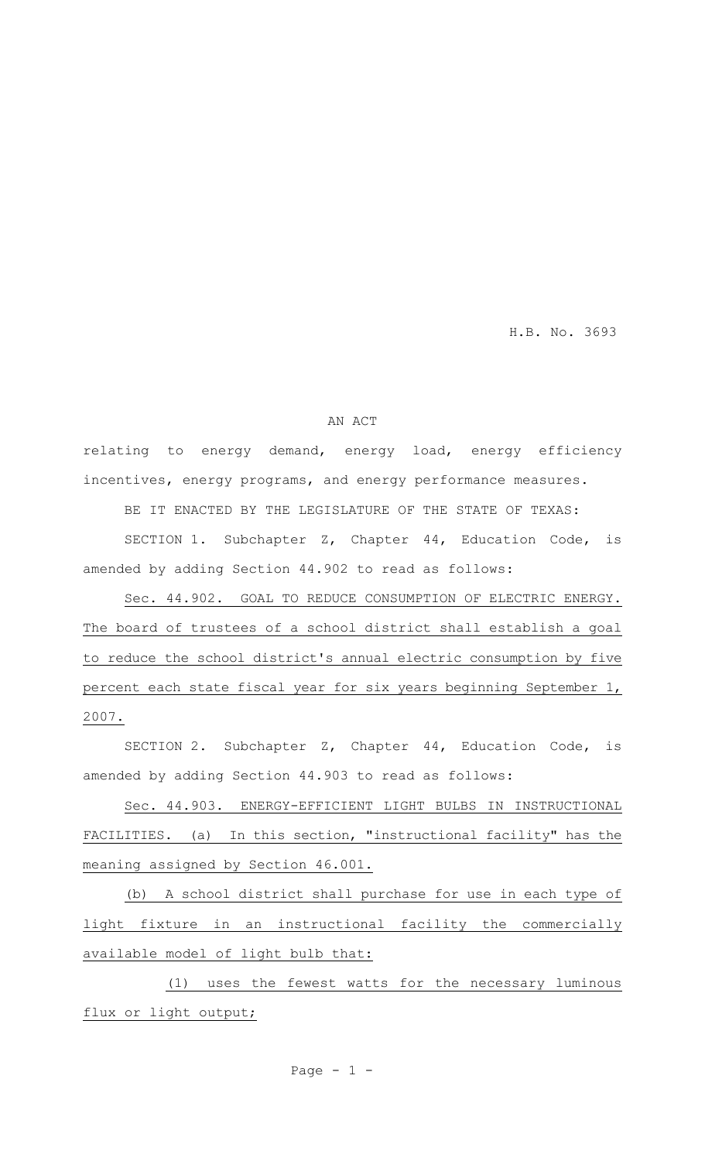H.B. No. 3693

#### AN ACT

relating to energy demand, energy load, energy efficiency incentives, energy programs, and energy performance measures.

BE IT ENACTED BY THE LEGISLATURE OF THE STATE OF TEXAS:

SECTION 1. Subchapter Z, Chapter 44, Education Code, is amended by adding Section 44.902 to read as follows:

Sec. 44.902. GOAL TO REDUCE CONSUMPTION OF ELECTRIC ENERGY. The board of trustees of a school district shall establish a goal to reduce the school district's annual electric consumption by five percent each state fiscal year for six years beginning September 1, 2007.

SECTION 2. Subchapter Z, Chapter 44, Education Code, is amended by adding Section 44.903 to read as follows:

Sec. 44.903. ENERGY-EFFICIENT LIGHT BULBS IN INSTRUCTIONAL FACILITIES. (a) In this section, "instructional facility" has the meaning assigned by Section 46.001.

(b) A school district shall purchase for use in each type of light fixture in an instructional facility the commercially available model of light bulb that:

(1) uses the fewest watts for the necessary luminous flux or light output;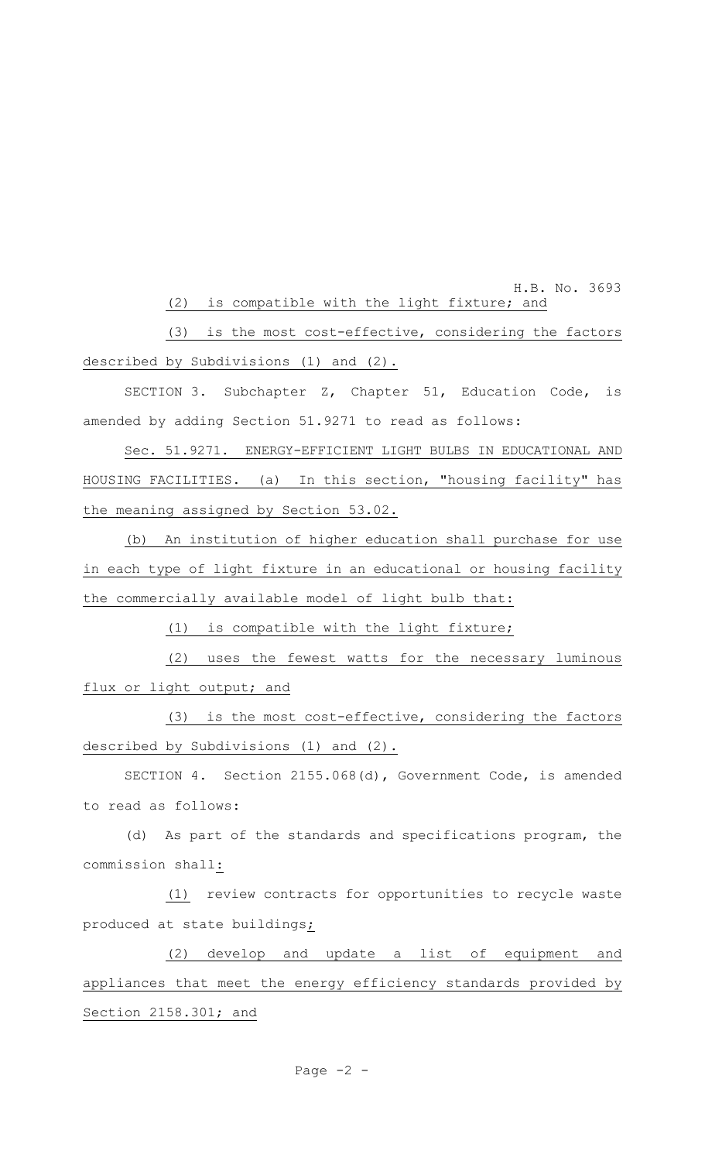H.B. No. 3693 (2) is compatible with the light fixture; and

(3) is the most cost-effective, considering the factors described by Subdivisions (1) and (2).

SECTION 3. Subchapter Z, Chapter 51, Education Code, is amended by adding Section 51.9271 to read as follows:

Sec. 51.9271. ENERGY-EFFICIENT LIGHT BULBS IN EDUCATIONAL AND HOUSING FACILITIES. (a) In this section, "housing facility" has the meaning assigned by Section 53.02.

(b) An institution of higher education shall purchase for use in each type of light fixture in an educational or housing facility the commercially available model of light bulb that:

(1) is compatible with the light fixture;

(2) uses the fewest watts for the necessary luminous flux or light output; and

(3) is the most cost-effective, considering the factors described by Subdivisions (1) and (2).

SECTION 4. Section 2155.068(d), Government Code, is amended to read as follows:

(d) As part of the standards and specifications program, the commission shall:

(1) review contracts for opportunities to recycle waste produced at state buildings;

(2) develop and update a list of equipment and appliances that meet the energy efficiency standards provided by Section 2158.301; and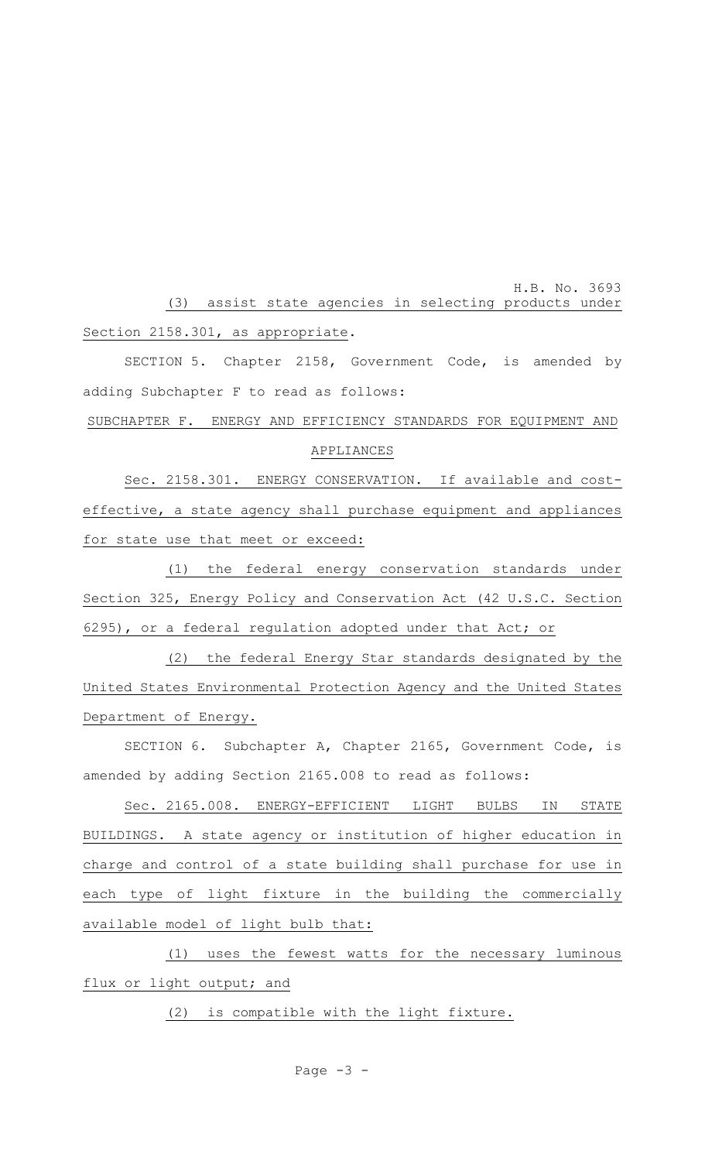H.B. No. 3693 (3) assist state agencies in selecting products under Section 2158.301, as appropriate.

SECTION 5. Chapter 2158, Government Code, is amended by adding Subchapter F to read as follows:

# SUBCHAPTER F. ENERGY AND EFFICIENCY STANDARDS FOR EQUIPMENT AND APPLIANCES

Sec. 2158.301. ENERGY CONSERVATION. If available and costeffective, a state agency shall purchase equipment and appliances for state use that meet or exceed:

(1) the federal energy conservation standards under Section 325, Energy Policy and Conservation Act (42 U.S.C. Section 6295), or a federal regulation adopted under that Act; or

(2) the federal Energy Star standards designated by the United States Environmental Protection Agency and the United States Department of Energy.

SECTION 6. Subchapter A, Chapter 2165, Government Code, is amended by adding Section 2165.008 to read as follows:

Sec. 2165.008. ENERGY-EFFICIENT LIGHT BULBS IN STATE BUILDINGS. A state agency or institution of higher education in charge and control of a state building shall purchase for use in each type of light fixture in the building the commercially available model of light bulb that:

(1) uses the fewest watts for the necessary luminous flux or light output; and

(2) is compatible with the light fixture.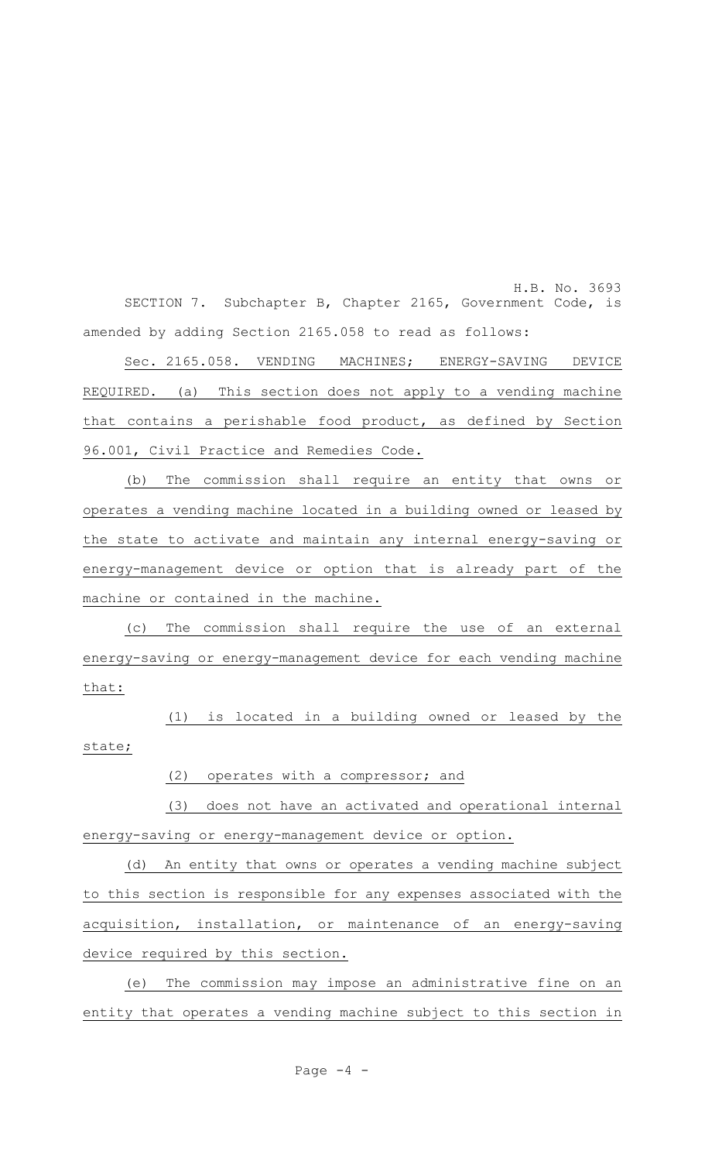H.B. No. 3693 SECTION 7. Subchapter B, Chapter 2165, Government Code, is amended by adding Section 2165.058 to read as follows:

Sec. 2165.058. VENDING MACHINES; ENERGY-SAVING DEVICE REQUIRED. (a) This section does not apply to a vending machine that contains a perishable food product, as defined by Section 96.001, Civil Practice and Remedies Code.

(b) The commission shall require an entity that owns or operates a vending machine located in a building owned or leased by the state to activate and maintain any internal energy-saving or energy-management device or option that is already part of the machine or contained in the machine.

(c) The commission shall require the use of an external energy-saving or energy-management device for each vending machine that:

(1) is located in a building owned or leased by the state;

#### (2) operates with a compressor; and

(3) does not have an activated and operational internal energy-saving or energy-management device or option.

(d) An entity that owns or operates a vending machine subject to this section is responsible for any expenses associated with the acquisition, installation, or maintenance of an energy-saving device required by this section.

(e) The commission may impose an administrative fine on an entity that operates a vending machine subject to this section in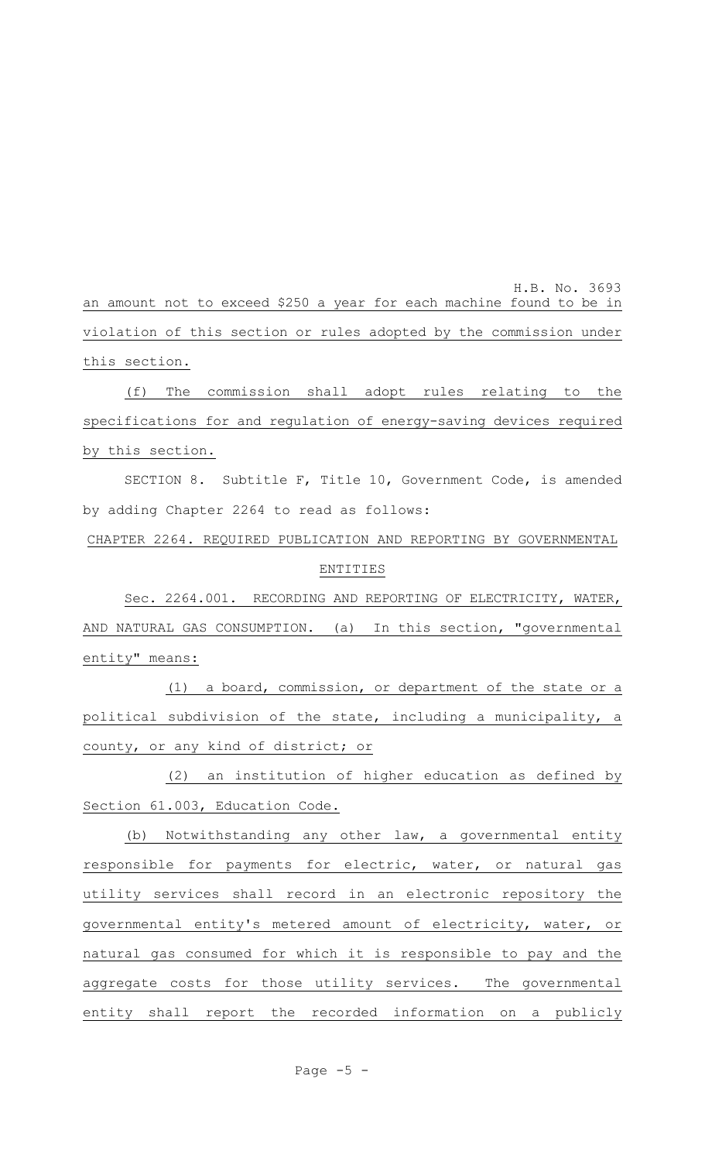H.B. No. 3693 an amount not to exceed \$250 a year for each machine found to be in violation of this section or rules adopted by the commission under this section.

(f) The commission shall adopt rules relating to the specifications for and regulation of energy-saving devices required by this section.

SECTION 8. Subtitle F, Title 10, Government Code, is amended by adding Chapter 2264 to read as follows:

CHAPTER 2264. REQUIRED PUBLICATION AND REPORTING BY GOVERNMENTAL

#### ENTITIES

Sec. 2264.001. RECORDING AND REPORTING OF ELECTRICITY, WATER, AND NATURAL GAS CONSUMPTION. (a) In this section, "governmental entity" means:

(1) a board, commission, or department of the state or a political subdivision of the state, including a municipality, a county, or any kind of district; or

(2) an institution of higher education as defined by Section 61.003, Education Code.

(b) Notwithstanding any other law, a governmental entity responsible for payments for electric, water, or natural gas utility services shall record in an electronic repository the governmental entity's metered amount of electricity, water, or natural gas consumed for which it is responsible to pay and the aggregate costs for those utility services. The governmental entity shall report the recorded information on a publicly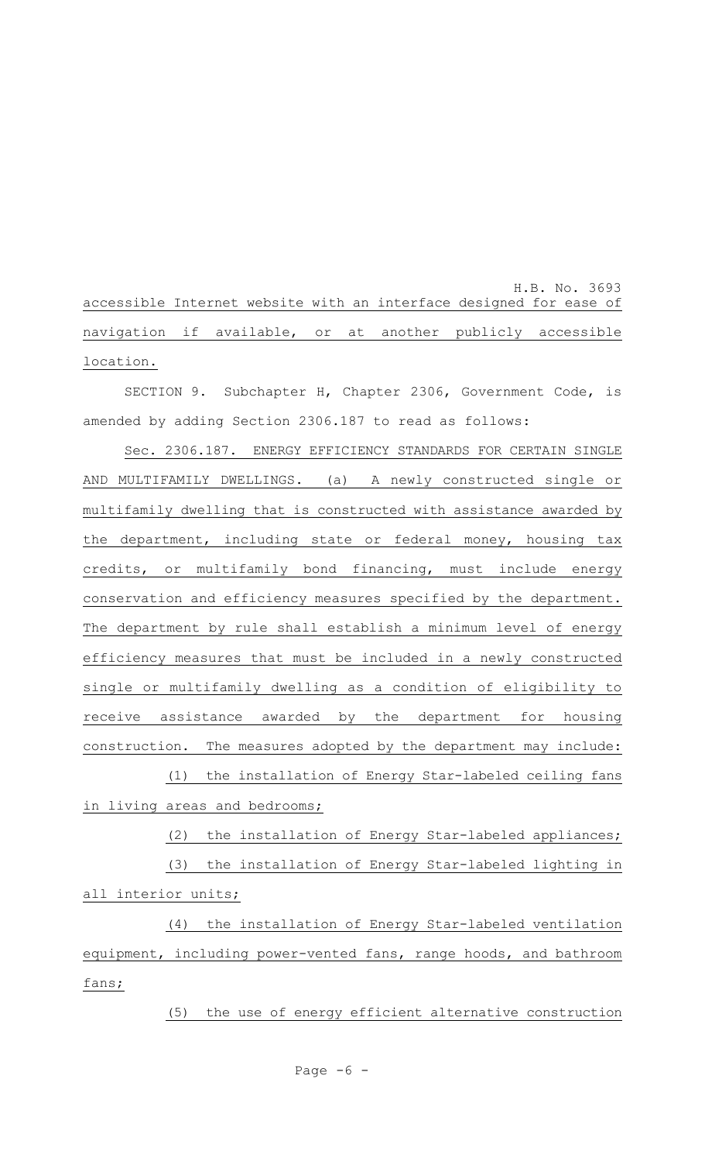H.B. No. 3693 accessible Internet website with an interface designed for ease of navigation if available, or at another publicly accessible location.

SECTION 9. Subchapter H, Chapter 2306, Government Code, is amended by adding Section 2306.187 to read as follows:

Sec. 2306.187. ENERGY EFFICIENCY STANDARDS FOR CERTAIN SINGLE AND MULTIFAMILY DWELLINGS. (a) A newly constructed single or multifamily dwelling that is constructed with assistance awarded by the department, including state or federal money, housing tax credits, or multifamily bond financing, must include energy conservation and efficiency measures specified by the department. The department by rule shall establish a minimum level of energy efficiency measures that must be included in a newly constructed single or multifamily dwelling as a condition of eligibility to receive assistance awarded by the department for housing construction. The measures adopted by the department may include: (1) the installation of Energy Star-labeled ceiling fans

in living areas and bedrooms;

(2) the installation of Energy Star-labeled appliances;

(3) the installation of Energy Star-labeled lighting in all interior units;

(4) the installation of Energy Star-labeled ventilation equipment, including power-vented fans, range hoods, and bathroom fans;

(5) the use of energy efficient alternative construction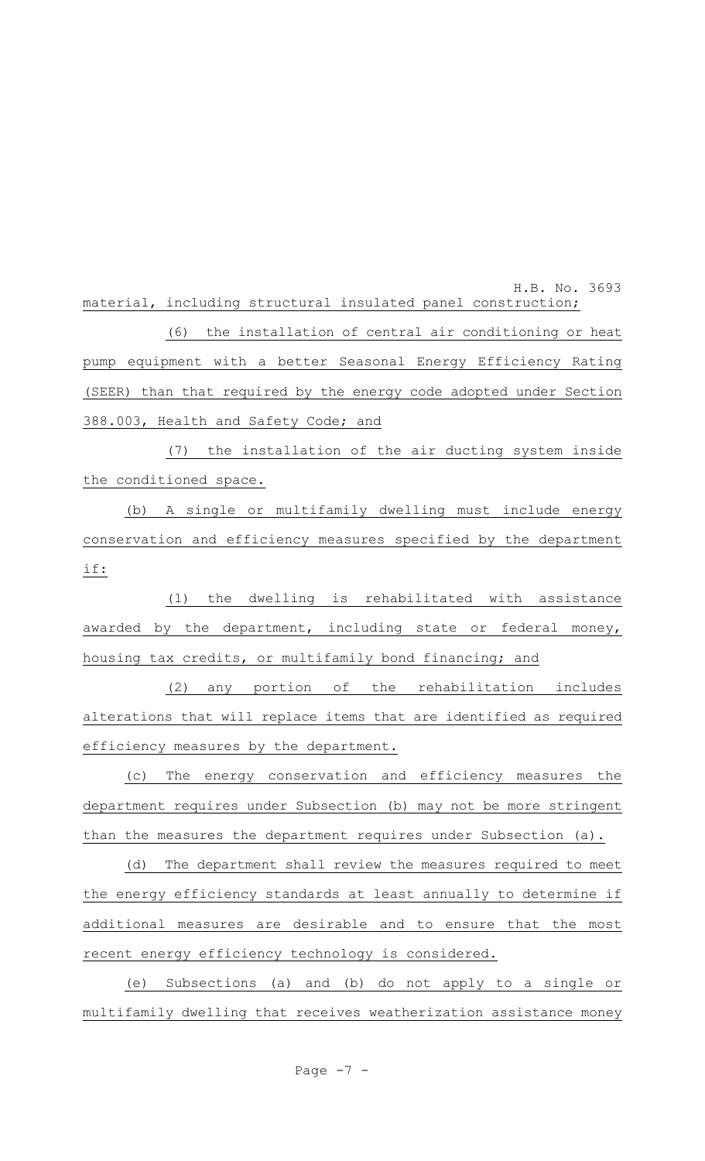H.B. No. 3693 material, including structural insulated panel construction;

(6) the installation of central air conditioning or heat pump equipment with a better Seasonal Energy Efficiency Rating (SEER) than that required by the energy code adopted under Section 388.003, Health and Safety Code; and

(7) the installation of the air ducting system inside the conditioned space.

(b) A single or multifamily dwelling must include energy conservation and efficiency measures specified by the department if:

(1) the dwelling is rehabilitated with assistance awarded by the department, including state or federal money, housing tax credits, or multifamily bond financing; and

(2) any portion of the rehabilitation includes alterations that will replace items that are identified as required efficiency measures by the department.

(c) The energy conservation and efficiency measures the department requires under Subsection (b) may not be more stringent than the measures the department requires under Subsection (a).

(d) The department shall review the measures required to meet the energy efficiency standards at least annually to determine if additional measures are desirable and to ensure that the most recent energy efficiency technology is considered.

(e) Subsections (a) and (b) do not apply to a single or multifamily dwelling that receives weatherization assistance money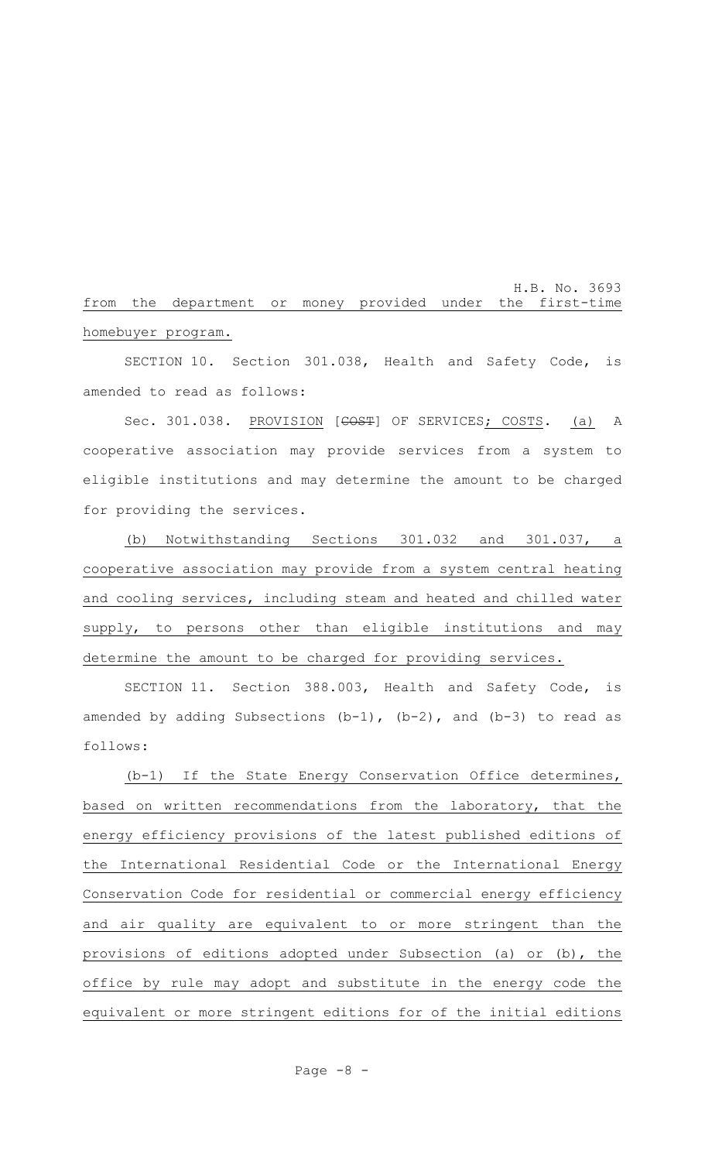H.B. No. 3693 from the department or money provided under the first-time homebuyer program.

SECTION 10. Section 301.038, Health and Safety Code, is amended to read as follows:

Sec. 301.038. PROVISION [COST] OF SERVICES; COSTS. (a) A cooperative association may provide services from a system to eligible institutions and may determine the amount to be charged for providing the services.

(b) Notwithstanding Sections 301.032 and 301.037, a cooperative association may provide from a system central heating and cooling services, including steam and heated and chilled water supply, to persons other than eligible institutions and may determine the amount to be charged for providing services.

SECTION 11. Section 388.003, Health and Safety Code, is amended by adding Subsections  $(b-1)$ ,  $(b-2)$ , and  $(b-3)$  to read as follows:

(b-1) If the State Energy Conservation Office determines, based on written recommendations from the laboratory, that the energy efficiency provisions of the latest published editions of the International Residential Code or the International Energy Conservation Code for residential or commercial energy efficiency and air quality are equivalent to or more stringent than the provisions of editions adopted under Subsection (a) or (b), the office by rule may adopt and substitute in the energy code the equivalent or more stringent editions for of the initial editions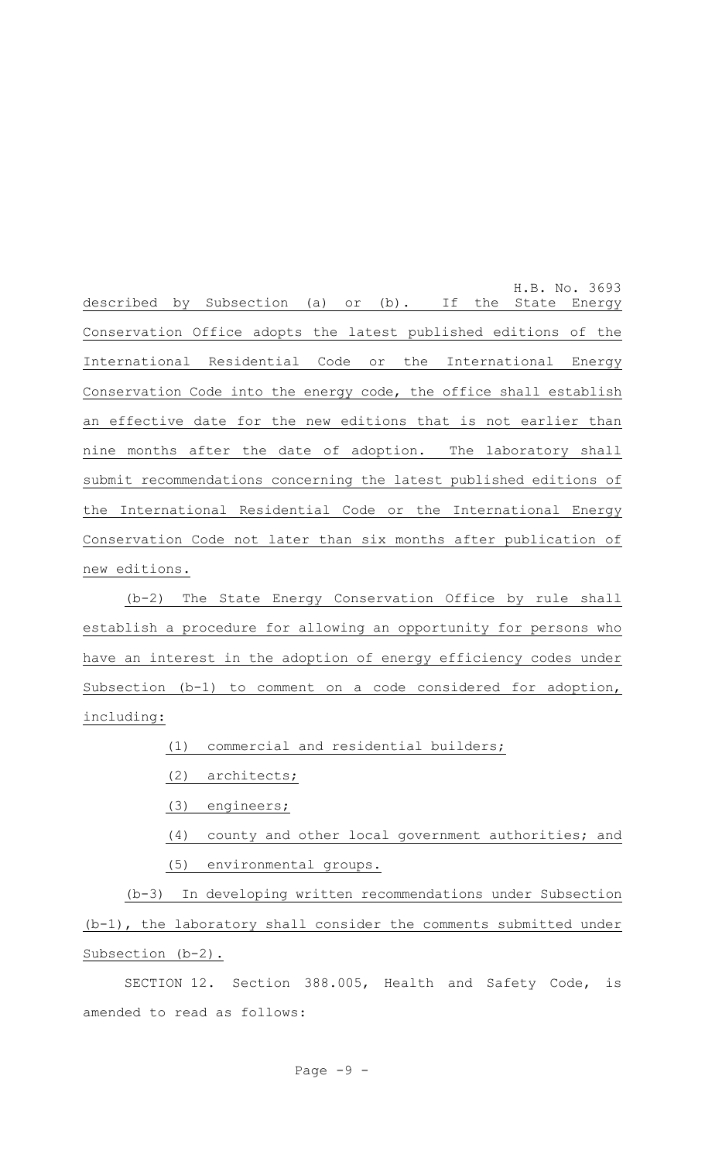H.B. No. 3693 described by Subsection (a) or (b). If the State Energy Conservation Office adopts the latest published editions of the International Residential Code or the International Energy Conservation Code into the energy code, the office shall establish an effective date for the new editions that is not earlier than nine months after the date of adoption. The laboratory shall submit recommendations concerning the latest published editions of the International Residential Code or the International Energy Conservation Code not later than six months after publication of new editions.

(b-2) The State Energy Conservation Office by rule shall establish a procedure for allowing an opportunity for persons who have an interest in the adoption of energy efficiency codes under Subsection (b-1) to comment on a code considered for adoption, including:

(1) commercial and residential builders;

#### (2) architects;

- (3) engineers;
- (4) county and other local government authorities; and
- (5) environmental groups.

(b-3) In developing written recommendations under Subsection (b-1), the laboratory shall consider the comments submitted under Subsection (b-2).

SECTION 12. Section 388.005, Health and Safety Code, is amended to read as follows: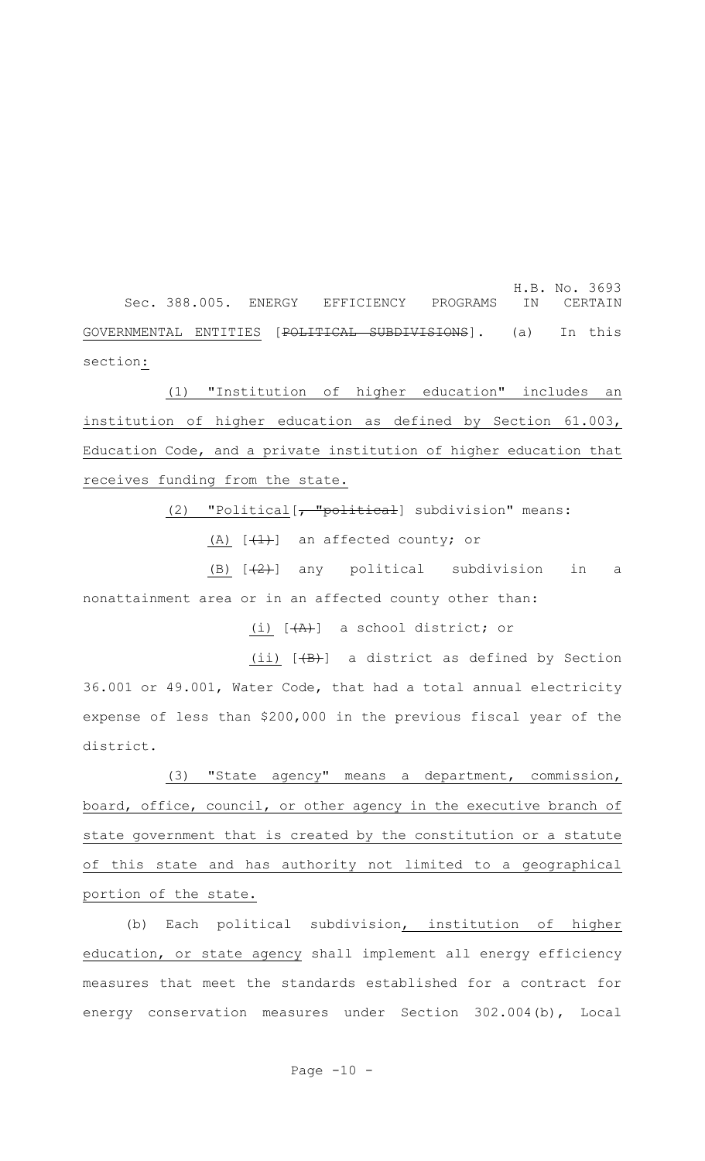H.B. No. 3693 Sec. 388.005. ENERGY EFFICIENCY PROGRAMS IN CERTAIN GOVERNMENTAL ENTITIES [POLITICAL SUBDIVISIONS]. (a) In this section:

(1) "Institution of higher education" includes an institution of higher education as defined by Section 61.003, Education Code, and a private institution of higher education that receives funding from the state.

(2) "Political [, "political] subdivision" means:

(A)  $[$   $(1)$  an affected county; or

(B)  $[+2+]$  any political subdivision in a nonattainment area or in an affected county other than:

(i)  $[A + A)$  a school district; or

(ii) [(B)] a district as defined by Section 36.001 or 49.001, Water Code, that had a total annual electricity expense of less than \$200,000 in the previous fiscal year of the district.

(3) "State agency" means a department, commission, board, office, council, or other agency in the executive branch of state government that is created by the constitution or a statute of this state and has authority not limited to a geographical portion of the state.

(b) Each political subdivision, institution of higher education, or state agency shall implement all energy efficiency measures that meet the standards established for a contract for energy conservation measures under Section 302.004(b), Local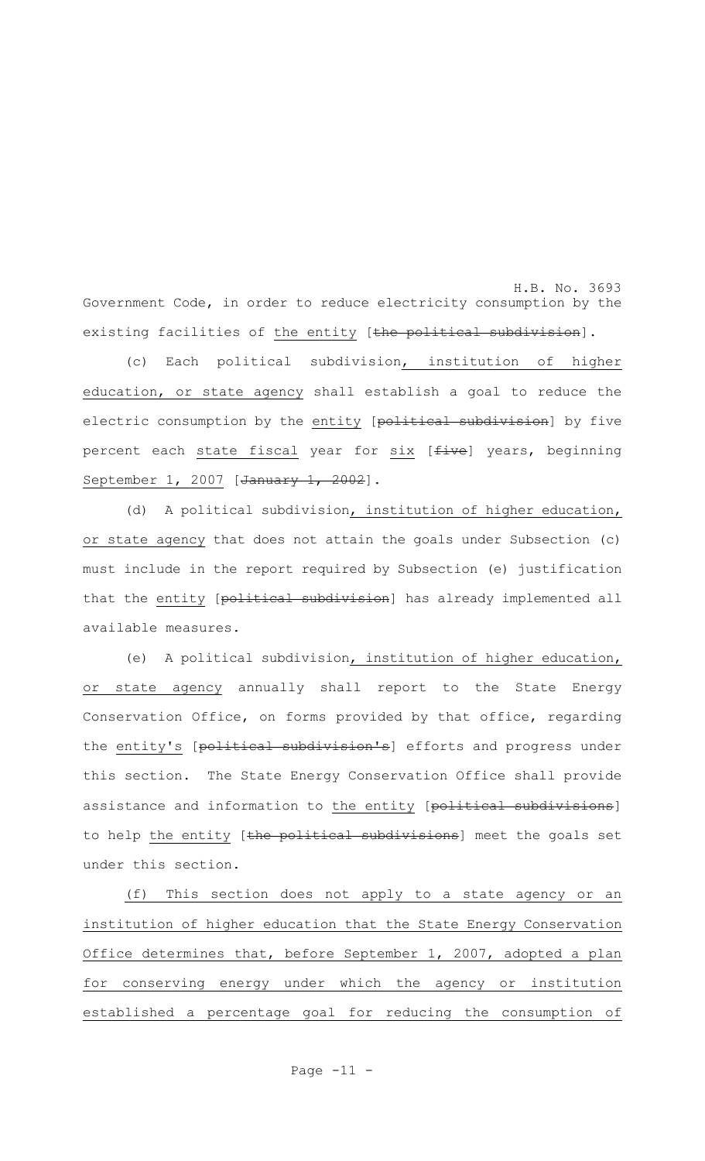H.B. No. 3693 Government Code, in order to reduce electricity consumption by the existing facilities of the entity [the political subdivision].

(c) Each political subdivision, institution of higher education, or state agency shall establish a goal to reduce the electric consumption by the entity [political subdivision] by five percent each state fiscal year for six [five] years, beginning September 1, 2007 [January 1, 2002].

(d) A political subdivision, institution of higher education, or state agency that does not attain the goals under Subsection (c) must include in the report required by Subsection (e) justification that the entity [political subdivision] has already implemented all available measures.

(e) A political subdivision, institution of higher education, or state agency annually shall report to the State Energy Conservation Office, on forms provided by that office, regarding the entity's [political subdivision's] efforts and progress under this section. The State Energy Conservation Office shall provide assistance and information to the entity [political subdivisions] to help the entity [the political subdivisions] meet the goals set under this section.

(f) This section does not apply to a state agency or an institution of higher education that the State Energy Conservation Office determines that, before September 1, 2007, adopted a plan for conserving energy under which the agency or institution established a percentage goal for reducing the consumption of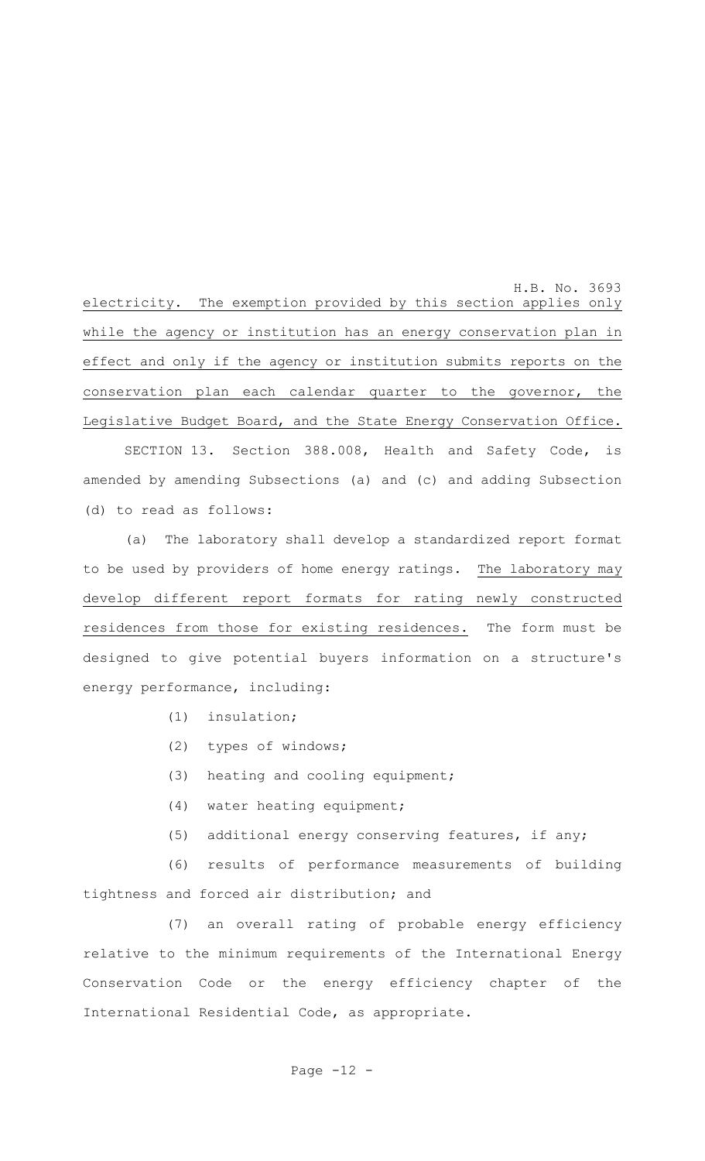H.B. No. 3693 electricity. The exemption provided by this section applies only while the agency or institution has an energy conservation plan in effect and only if the agency or institution submits reports on the conservation plan each calendar quarter to the governor, the Legislative Budget Board, and the State Energy Conservation Office.

SECTION 13. Section 388.008, Health and Safety Code, is amended by amending Subsections (a) and (c) and adding Subsection (d) to read as follows:

(a) The laboratory shall develop a standardized report format to be used by providers of home energy ratings. The laboratory may develop different report formats for rating newly constructed residences from those for existing residences. The form must be designed to give potential buyers information on a structure's energy performance, including:

- (1) insulation;
- (2) types of windows;
- (3) heating and cooling equipment;
- (4) water heating equipment;
- (5) additional energy conserving features, if any;

(6) results of performance measurements of building tightness and forced air distribution; and

(7) an overall rating of probable energy efficiency relative to the minimum requirements of the International Energy Conservation Code or the energy efficiency chapter of the International Residential Code, as appropriate.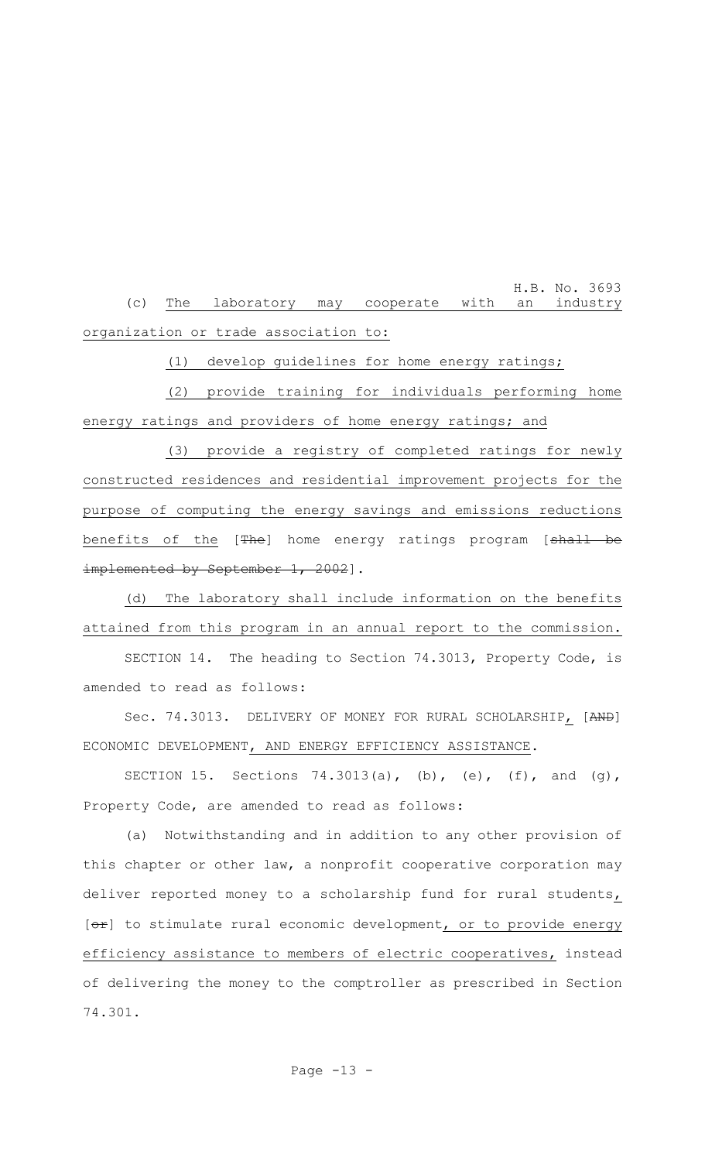H.B. No. 3693 (c) The laboratory may cooperate with an industry organization or trade association to:

(1) develop guidelines for home energy ratings;

(2) provide training for individuals performing home energy ratings and providers of home energy ratings; and

(3) provide a registry of completed ratings for newly constructed residences and residential improvement projects for the purpose of computing the energy savings and emissions reductions benefits of the [The] home energy ratings program [shall be implemented by September 1, 2002].

(d) The laboratory shall include information on the benefits attained from this program in an annual report to the commission.

SECTION 14. The heading to Section 74.3013, Property Code, is amended to read as follows:

Sec. 74.3013. DELIVERY OF MONEY FOR RURAL SCHOLARSHIP, [AND] ECONOMIC DEVELOPMENT, AND ENERGY EFFICIENCY ASSISTANCE.

SECTION 15. Sections 74.3013(a), (b), (e), (f), and (g), Property Code, are amended to read as follows:

(a) Notwithstanding and in addition to any other provision of this chapter or other law, a nonprofit cooperative corporation may deliver reported money to a scholarship fund for rural students,  $[**or**]$  to stimulate rural economic development, or to provide energy efficiency assistance to members of electric cooperatives, instead of delivering the money to the comptroller as prescribed in Section 74.301.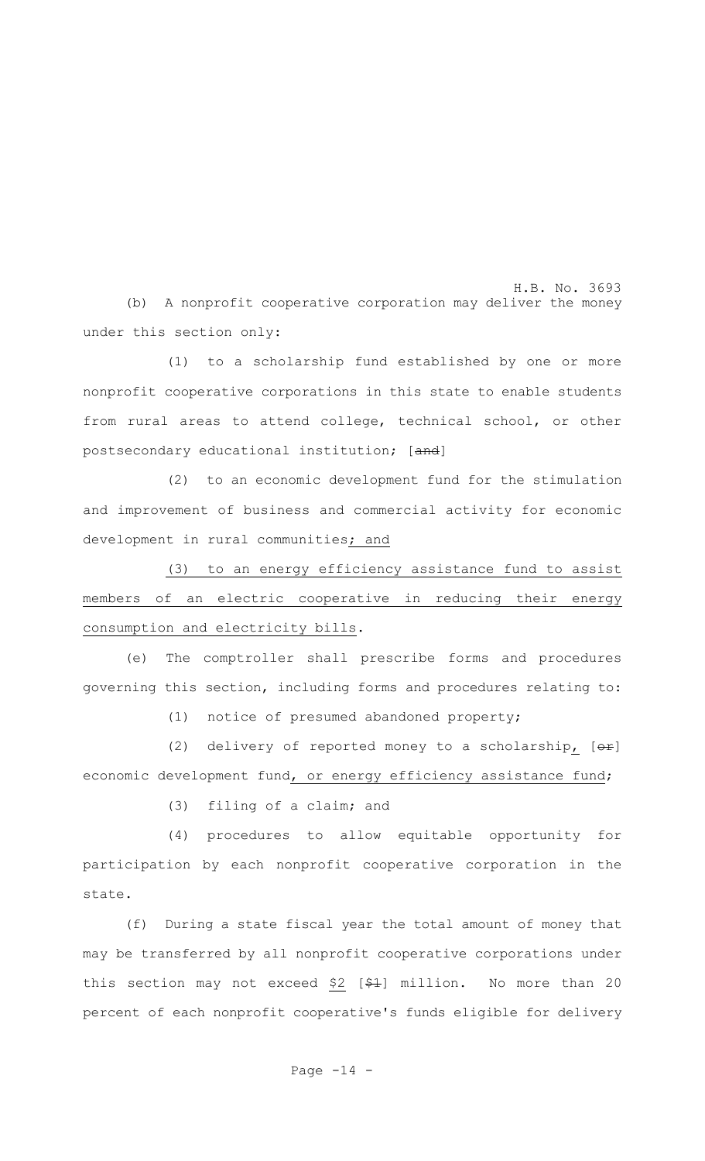H.B. No. 3693 (b) A nonprofit cooperative corporation may deliver the money under this section only:

(1) to a scholarship fund established by one or more nonprofit cooperative corporations in this state to enable students from rural areas to attend college, technical school, or other postsecondary educational institution; [and]

(2) to an economic development fund for the stimulation and improvement of business and commercial activity for economic development in rural communities; and

(3) to an energy efficiency assistance fund to assist members of an electric cooperative in reducing their energy consumption and electricity bills.

(e) The comptroller shall prescribe forms and procedures governing this section, including forms and procedures relating to:

(1) notice of presumed abandoned property;

(2) delivery of reported money to a scholarship,  $[ $\theta$  +  $\theta$ ]$ economic development fund, or energy efficiency assistance fund;

(3) filing of a claim; and

(4) procedures to allow equitable opportunity for participation by each nonprofit cooperative corporation in the state.

(f) During a state fiscal year the total amount of money that may be transferred by all nonprofit cooperative corporations under this section may not exceed \$2  $[$ \$ $+$ ] million. No more than 20 percent of each nonprofit cooperative's funds eligible for delivery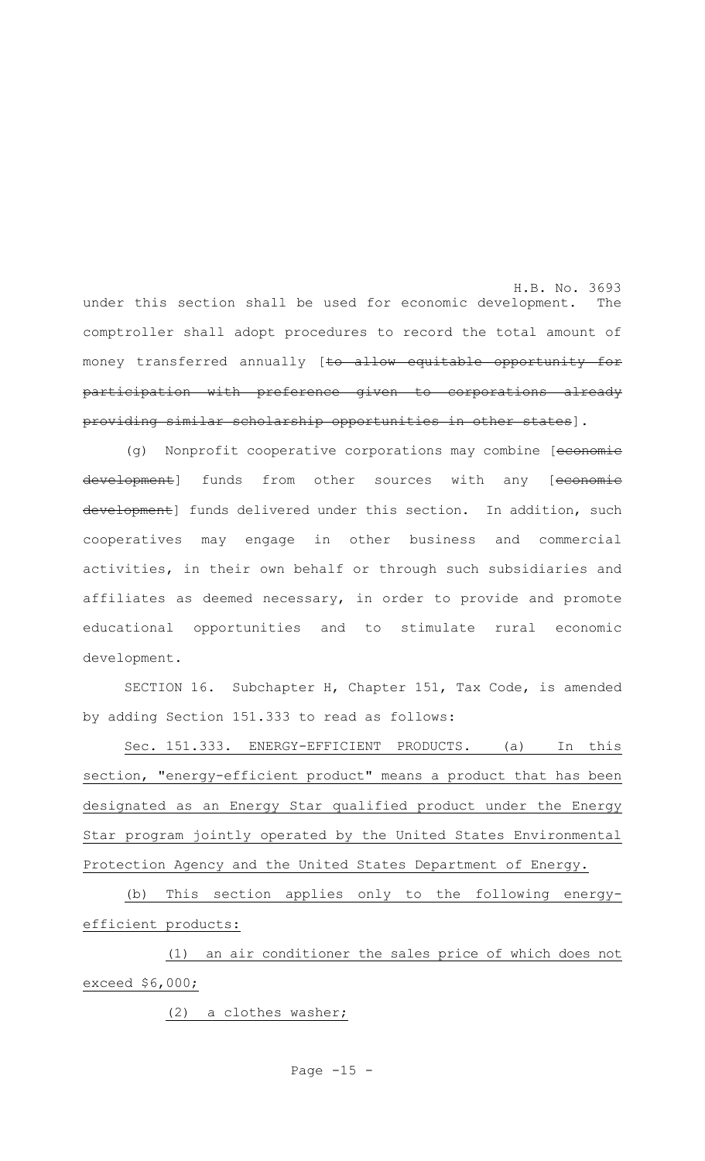H.B. No. 3693 under this section shall be used for economic development. The comptroller shall adopt procedures to record the total amount of money transferred annually [to allow equitable opportunity for participation with preference given to corporations already providing similar scholarship opportunities in other states].

(g) Nonprofit cooperative corporations may combine [economie development] funds from other sources with any [economie development] funds delivered under this section. In addition, such cooperatives may engage in other business and commercial activities, in their own behalf or through such subsidiaries and affiliates as deemed necessary, in order to provide and promote educational opportunities and to stimulate rural economic development.

SECTION 16. Subchapter H, Chapter 151, Tax Code, is amended by adding Section 151.333 to read as follows:

Sec. 151.333. ENERGY-EFFICIENT PRODUCTS. (a) In this section, "energy-efficient product" means a product that has been designated as an Energy Star qualified product under the Energy Star program jointly operated by the United States Environmental Protection Agency and the United States Department of Energy.

(b) This section applies only to the following energyefficient products:

(1) an air conditioner the sales price of which does not exceed \$6,000;

(2) a clothes washer;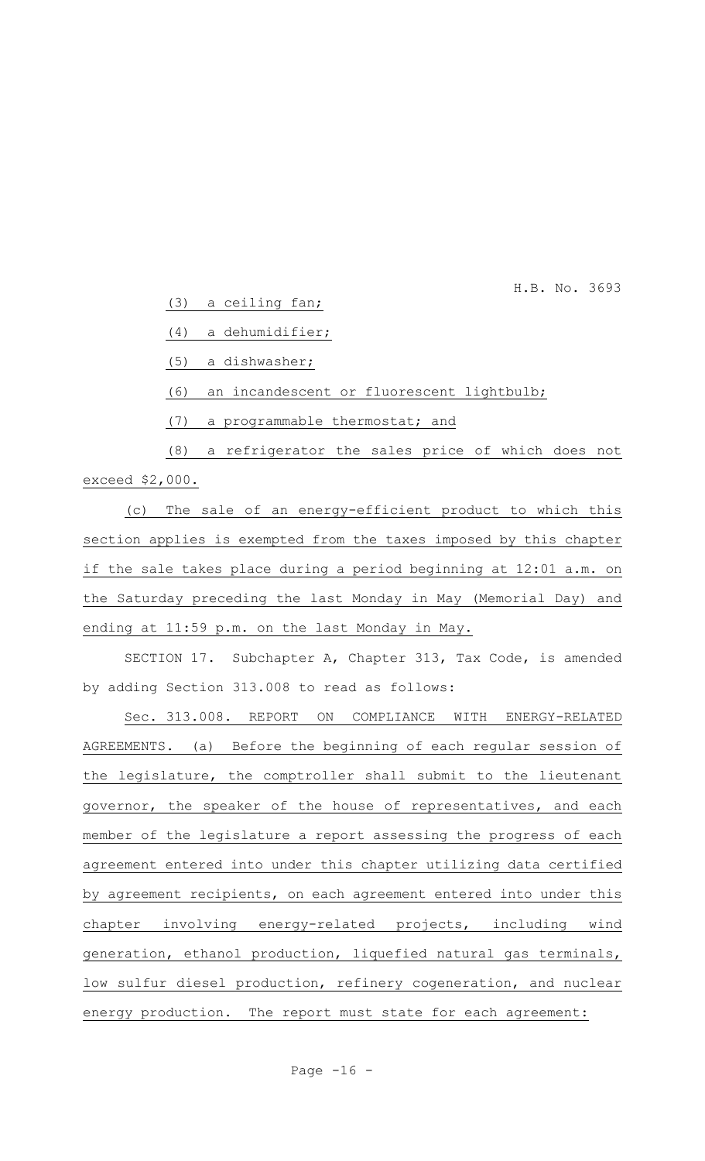H.B. No. 3693

(3) a ceiling fan;

(4) a dehumidifier;

(5) a dishwasher;

(6) an incandescent or fluorescent lightbulb;

(7) a programmable thermostat; and

(8) a refrigerator the sales price of which does not exceed \$2,000.

(c) The sale of an energy-efficient product to which this section applies is exempted from the taxes imposed by this chapter if the sale takes place during a period beginning at 12:01 a.m. on the Saturday preceding the last Monday in May (Memorial Day) and ending at 11:59 p.m. on the last Monday in May.

SECTION 17. Subchapter A, Chapter 313, Tax Code, is amended by adding Section 313.008 to read as follows:

Sec. 313.008. REPORT ON COMPLIANCE WITH ENERGY-RELATED AGREEMENTS. (a) Before the beginning of each regular session of the legislature, the comptroller shall submit to the lieutenant governor, the speaker of the house of representatives, and each member of the legislature a report assessing the progress of each agreement entered into under this chapter utilizing data certified by agreement recipients, on each agreement entered into under this chapter involving energy-related projects, including wind generation, ethanol production, liquefied natural gas terminals, low sulfur diesel production, refinery cogeneration, and nuclear energy production. The report must state for each agreement: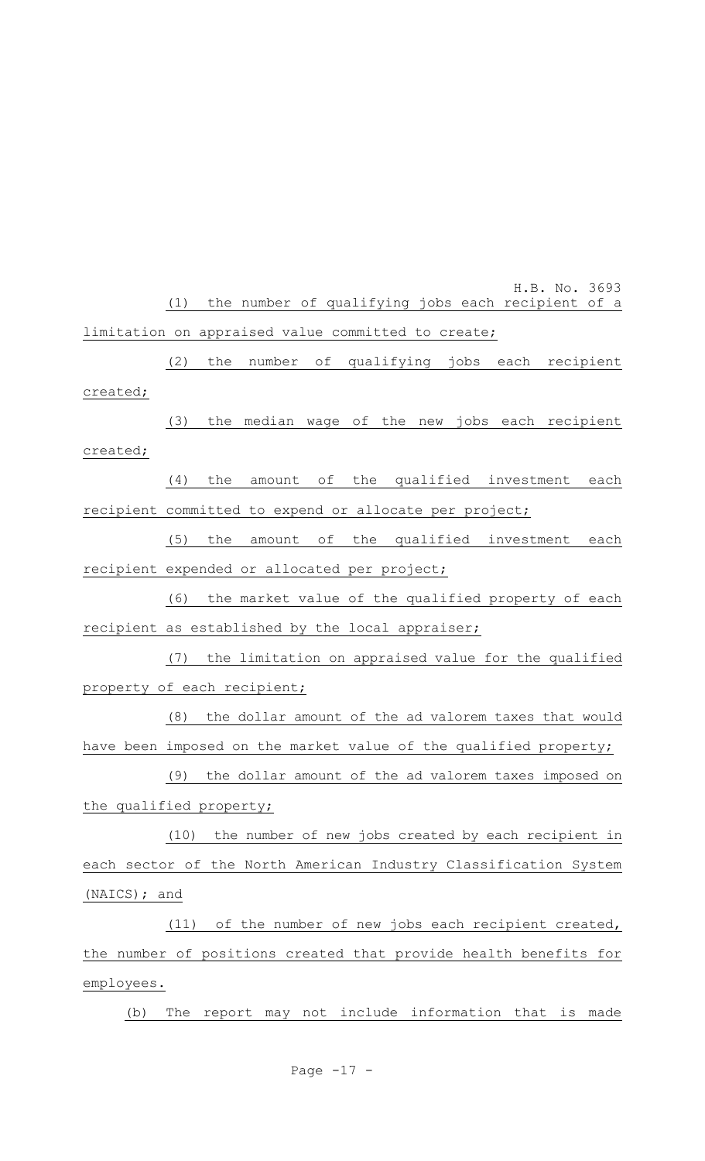H.B. No. 3693 (1) the number of qualifying jobs each recipient of a limitation on appraised value committed to create;

(2) the number of qualifying jobs each recipient created;

(3) the median wage of the new jobs each recipient created;

(4) the amount of the qualified investment each recipient committed to expend or allocate per project;

(5) the amount of the qualified investment each recipient expended or allocated per project;

(6) the market value of the qualified property of each recipient as established by the local appraiser;

(7) the limitation on appraised value for the qualified property of each recipient;

(8) the dollar amount of the ad valorem taxes that would have been imposed on the market value of the qualified property;

(9) the dollar amount of the ad valorem taxes imposed on the qualified property;

(10) the number of new jobs created by each recipient in each sector of the North American Industry Classification System (NAICS); and

(11) of the number of new jobs each recipient created, the number of positions created that provide health benefits for employees.

(b) The report may not include information that is made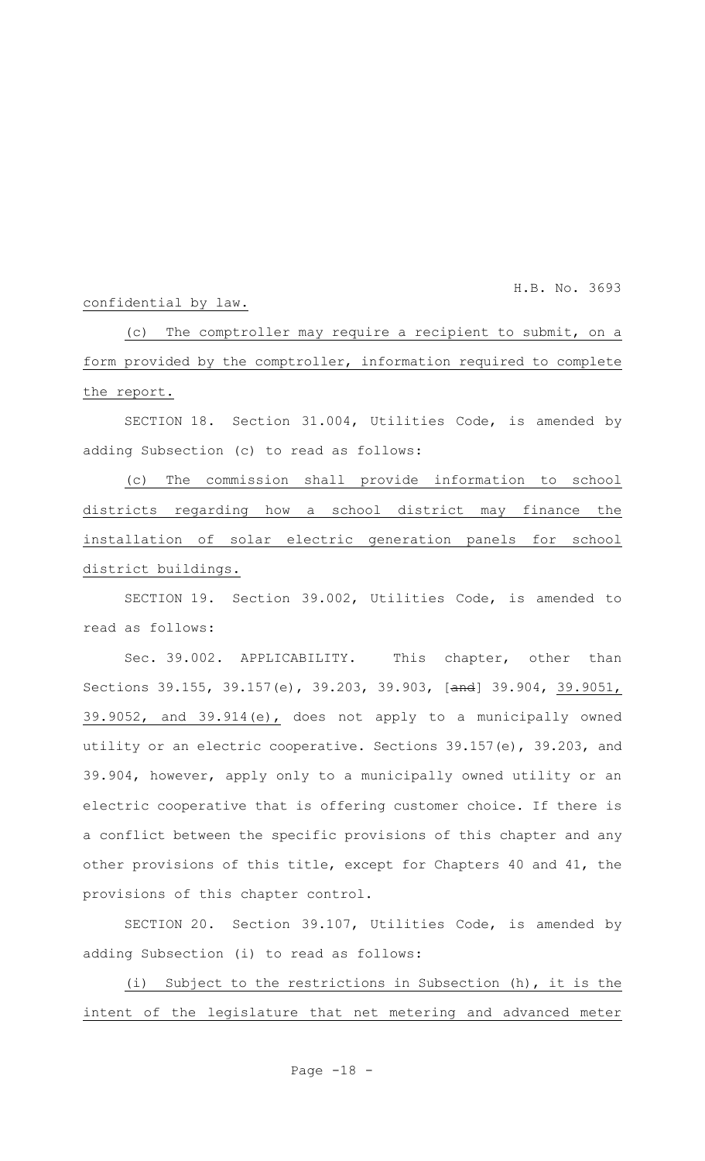H.B. No. 3693

#### confidential by law.

(c) The comptroller may require a recipient to submit, on a form provided by the comptroller, information required to complete the report.

SECTION 18. Section 31.004, Utilities Code, is amended by adding Subsection (c) to read as follows:

(c) The commission shall provide information to school districts regarding how a school district may finance the installation of solar electric generation panels for school district buildings.

SECTION 19. Section 39.002, Utilities Code, is amended to read as follows:

Sec. 39.002. APPLICABILITY. This chapter, other than Sections 39.155, 39.157(e), 39.203, 39.903, [and] 39.904, 39.9051, 39.9052, and 39.914(e), does not apply to a municipally owned utility or an electric cooperative. Sections 39.157(e), 39.203, and 39.904, however, apply only to a municipally owned utility or an electric cooperative that is offering customer choice. If there is a conflict between the specific provisions of this chapter and any other provisions of this title, except for Chapters 40 and 41, the provisions of this chapter control.

SECTION 20. Section 39.107, Utilities Code, is amended by adding Subsection (i) to read as follows:

(i) Subject to the restrictions in Subsection (h), it is the intent of the legislature that net metering and advanced meter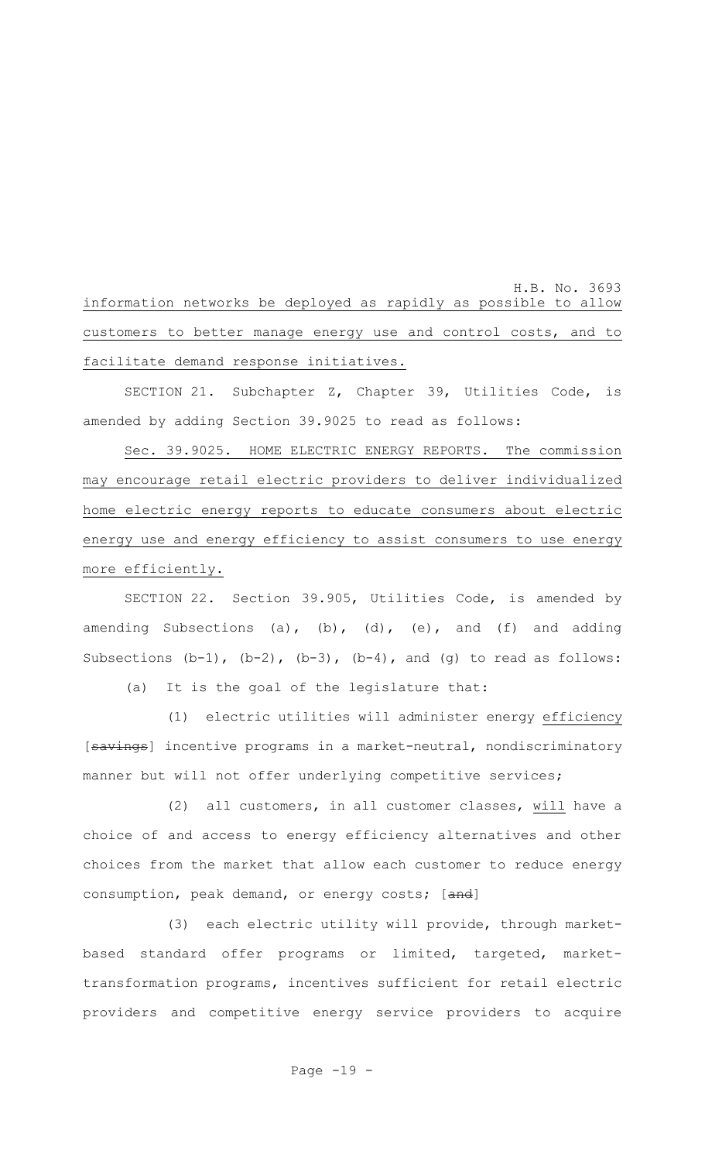H.B. No. 3693 information networks be deployed as rapidly as possible to allow customers to better manage energy use and control costs, and to facilitate demand response initiatives.

SECTION 21. Subchapter Z, Chapter 39, Utilities Code, is amended by adding Section 39.9025 to read as follows:

Sec. 39.9025. HOME ELECTRIC ENERGY REPORTS. The commission may encourage retail electric providers to deliver individualized home electric energy reports to educate consumers about electric energy use and energy efficiency to assist consumers to use energy more efficiently.

SECTION 22. Section 39.905, Utilities Code, is amended by amending Subsections (a), (b), (d), (e), and (f) and adding Subsections  $(b-1)$ ,  $(b-2)$ ,  $(b-3)$ ,  $(b-4)$ , and  $(g)$  to read as follows:

(a) It is the goal of the legislature that:

(1) electric utilities will administer energy efficiency [savings] incentive programs in a market-neutral, nondiscriminatory manner but will not offer underlying competitive services;

(2) all customers, in all customer classes, will have a choice of and access to energy efficiency alternatives and other choices from the market that allow each customer to reduce energy consumption, peak demand, or energy costs; [and]

(3) each electric utility will provide, through marketbased standard offer programs or limited, targeted, markettransformation programs, incentives sufficient for retail electric providers and competitive energy service providers to acquire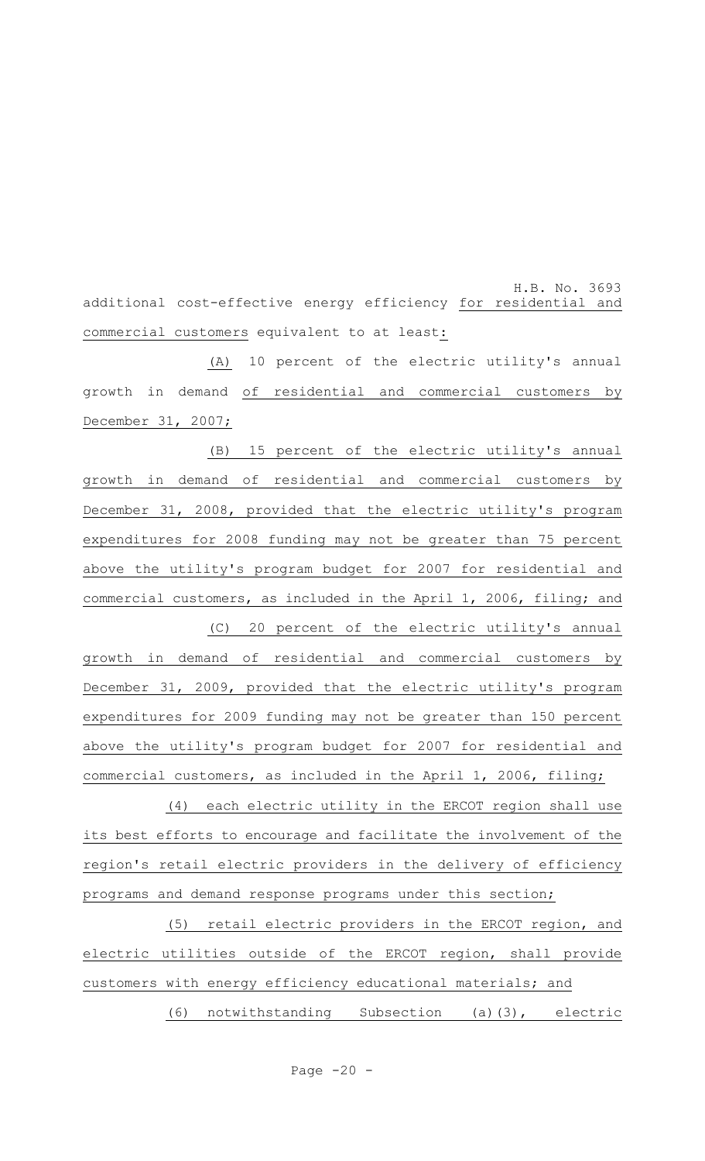H.B. No. 3693 additional cost-effective energy efficiency for residential and commercial customers equivalent to at least:

(A) 10 percent of the electric utility's annual growth in demand of residential and commercial customers by December 31, 2007;

(B) 15 percent of the electric utility's annual growth in demand of residential and commercial customers by December 31, 2008, provided that the electric utility's program expenditures for 2008 funding may not be greater than 75 percent above the utility's program budget for 2007 for residential and commercial customers, as included in the April 1, 2006, filing; and (C) 20 percent of the electric utility's annual growth in demand of residential and commercial customers by December 31, 2009, provided that the electric utility's program expenditures for 2009 funding may not be greater than 150 percent above the utility's program budget for 2007 for residential and commercial customers, as included in the April 1, 2006, filing;

(4) each electric utility in the ERCOT region shall use its best efforts to encourage and facilitate the involvement of the region's retail electric providers in the delivery of efficiency programs and demand response programs under this section;

(5) retail electric providers in the ERCOT region, and electric utilities outside of the ERCOT region, shall provide customers with energy efficiency educational materials; and

(6) notwithstanding Subsection (a)(3), electric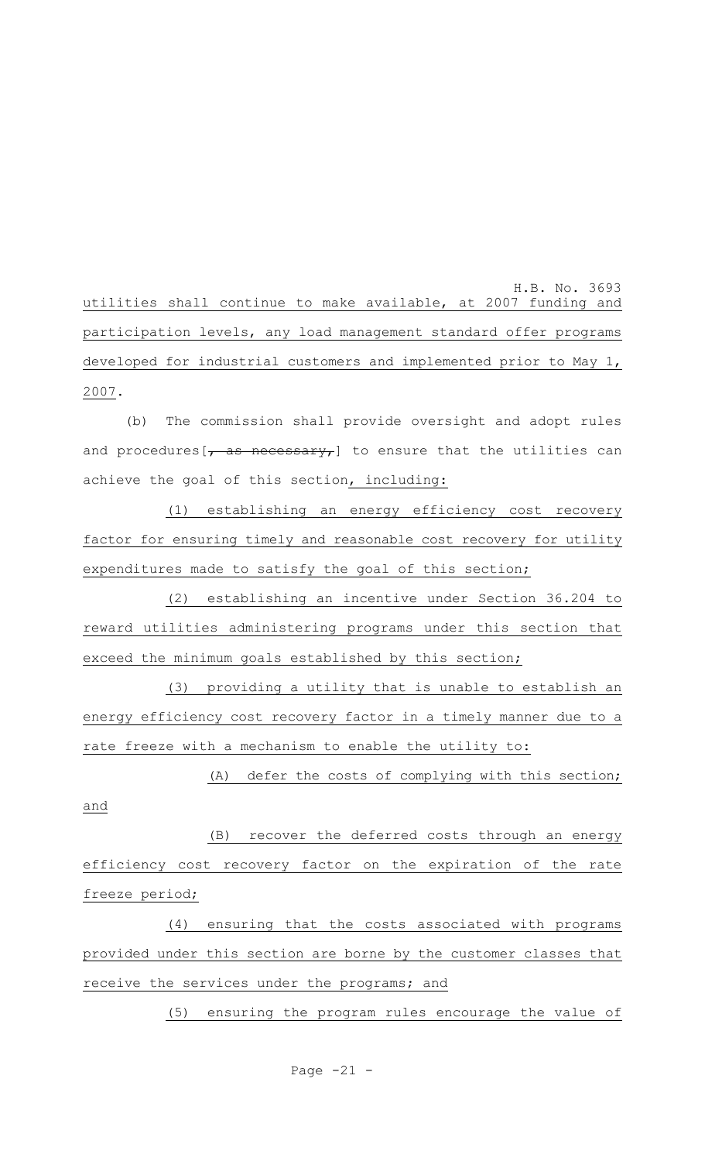H.B. No. 3693 utilities shall continue to make available, at 2007 funding and participation levels, any load management standard offer programs developed for industrial customers and implemented prior to May 1, 2007.

(b) The commission shall provide oversight and adopt rules and procedures  $\left[\right.$  as necessary, to ensure that the utilities can achieve the goal of this section, including:

(1) establishing an energy efficiency cost recovery factor for ensuring timely and reasonable cost recovery for utility expenditures made to satisfy the goal of this section;

(2) establishing an incentive under Section 36.204 to reward utilities administering programs under this section that exceed the minimum goals established by this section;

(3) providing a utility that is unable to establish an energy efficiency cost recovery factor in a timely manner due to a rate freeze with a mechanism to enable the utility to:

(A) defer the costs of complying with this section; and

(B) recover the deferred costs through an energy efficiency cost recovery factor on the expiration of the rate freeze period;

(4) ensuring that the costs associated with programs provided under this section are borne by the customer classes that receive the services under the programs; and

(5) ensuring the program rules encourage the value of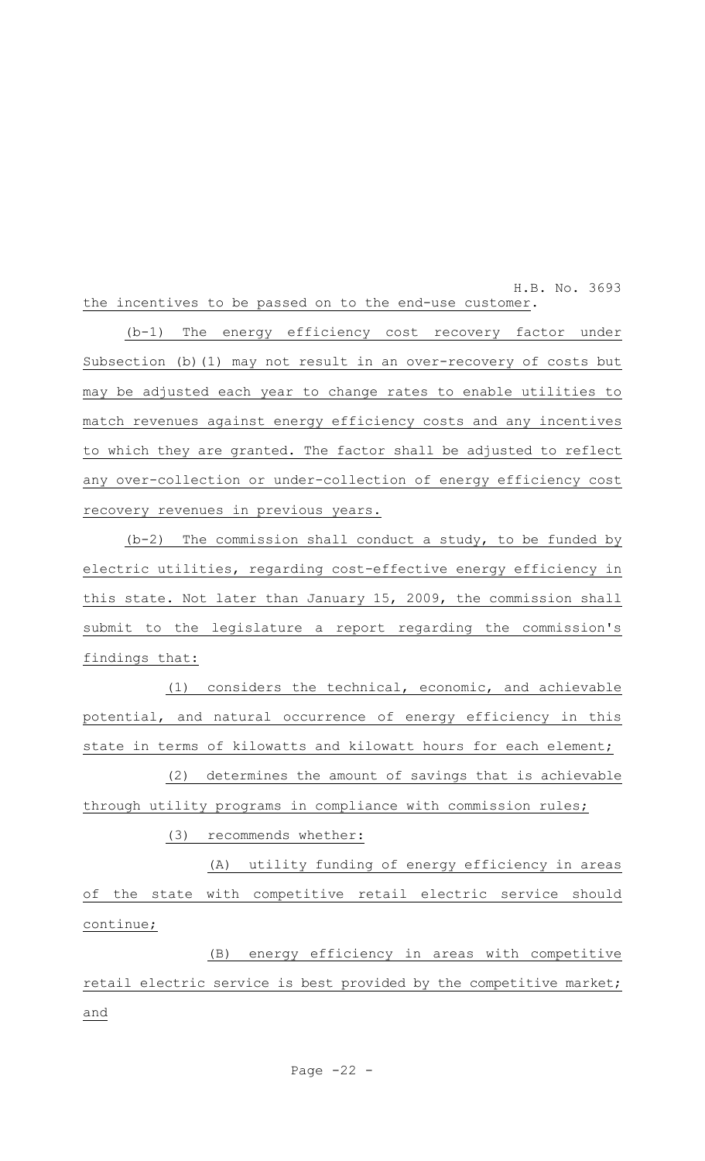H.B. No. 3693 the incentives to be passed on to the end-use customer.

(b-1) The energy efficiency cost recovery factor under Subsection (b)(1) may not result in an over-recovery of costs but may be adjusted each year to change rates to enable utilities to match revenues against energy efficiency costs and any incentives to which they are granted. The factor shall be adjusted to reflect any over-collection or under-collection of energy efficiency cost recovery revenues in previous years.

(b-2) The commission shall conduct a study, to be funded by electric utilities, regarding cost-effective energy efficiency in this state. Not later than January 15, 2009, the commission shall submit to the legislature a report regarding the commission's findings that:

(1) considers the technical, economic, and achievable potential, and natural occurrence of energy efficiency in this state in terms of kilowatts and kilowatt hours for each element;

(2) determines the amount of savings that is achievable through utility programs in compliance with commission rules;

(3) recommends whether:

(A) utility funding of energy efficiency in areas of the state with competitive retail electric service should continue;

(B) energy efficiency in areas with competitive retail electric service is best provided by the competitive market; and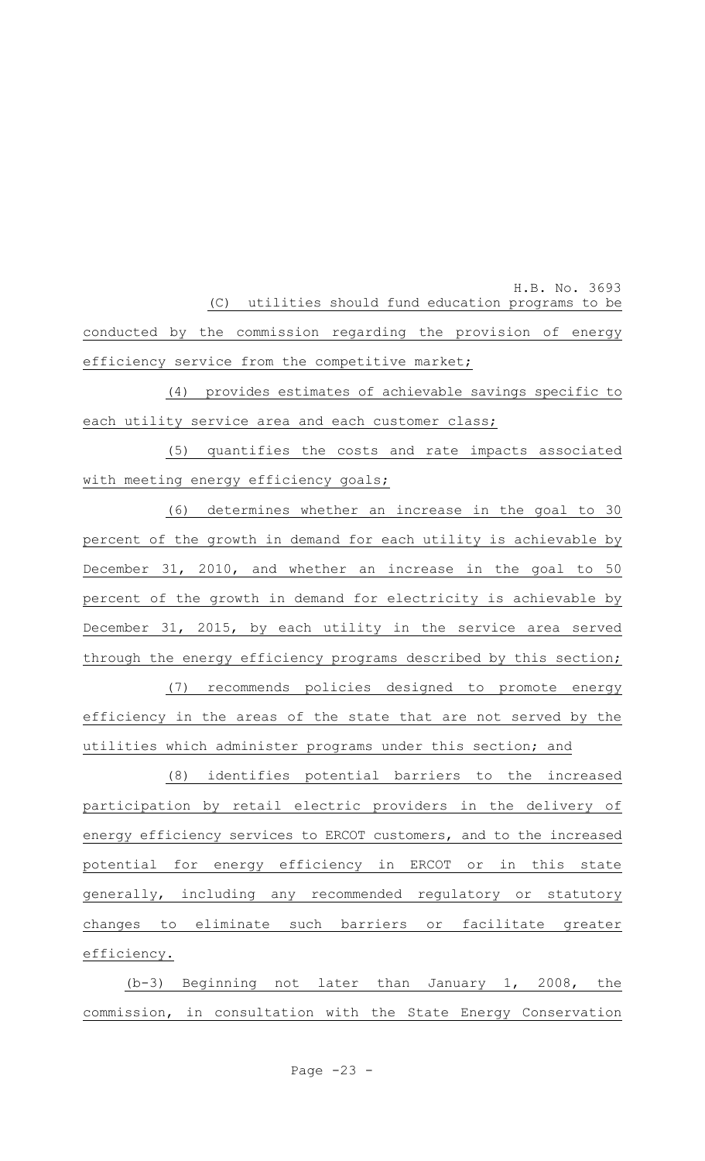H.B. No. 3693 (C) utilities should fund education programs to be conducted by the commission regarding the provision of energy efficiency service from the competitive market;

(4) provides estimates of achievable savings specific to each utility service area and each customer class;

(5) quantifies the costs and rate impacts associated with meeting energy efficiency goals;

(6) determines whether an increase in the goal to 30 percent of the growth in demand for each utility is achievable by December 31, 2010, and whether an increase in the goal to 50 percent of the growth in demand for electricity is achievable by December 31, 2015, by each utility in the service area served through the energy efficiency programs described by this section;

(7) recommends policies designed to promote energy efficiency in the areas of the state that are not served by the utilities which administer programs under this section; and

(8) identifies potential barriers to the increased participation by retail electric providers in the delivery of energy efficiency services to ERCOT customers, and to the increased potential for energy efficiency in ERCOT or in this state generally, including any recommended regulatory or statutory changes to eliminate such barriers or facilitate greater efficiency.

(b-3) Beginning not later than January 1, 2008, the commission, in consultation with the State Energy Conservation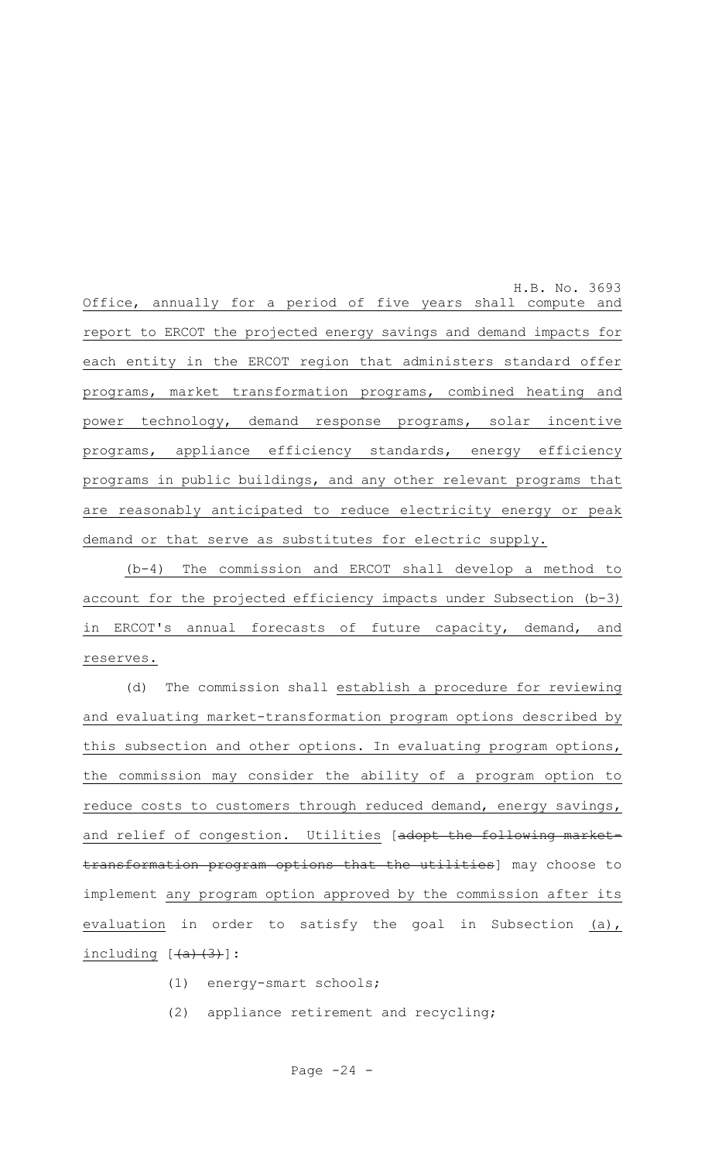H.B. No. 3693 Office, annually for a period of five years shall compute and report to ERCOT the projected energy savings and demand impacts for each entity in the ERCOT region that administers standard offer programs, market transformation programs, combined heating and power technology, demand response programs, solar incentive programs, appliance efficiency standards, energy efficiency programs in public buildings, and any other relevant programs that are reasonably anticipated to reduce electricity energy or peak demand or that serve as substitutes for electric supply.

(b-4) The commission and ERCOT shall develop a method to account for the projected efficiency impacts under Subsection (b-3) in ERCOT's annual forecasts of future capacity, demand, and reserves.

(d) The commission shall establish a procedure for reviewing and evaluating market-transformation program options described by this subsection and other options. In evaluating program options, the commission may consider the ability of a program option to reduce costs to customers through reduced demand, energy savings, and relief of congestion. Utilities [adopt the following markettransformation program options that the utilities] may choose to implement any program option approved by the commission after its evaluation in order to satisfy the goal in Subsection (a),  $including$   $[$   $(a)$   $(3)$   $]$  :

- (1) energy-smart schools;
- (2) appliance retirement and recycling;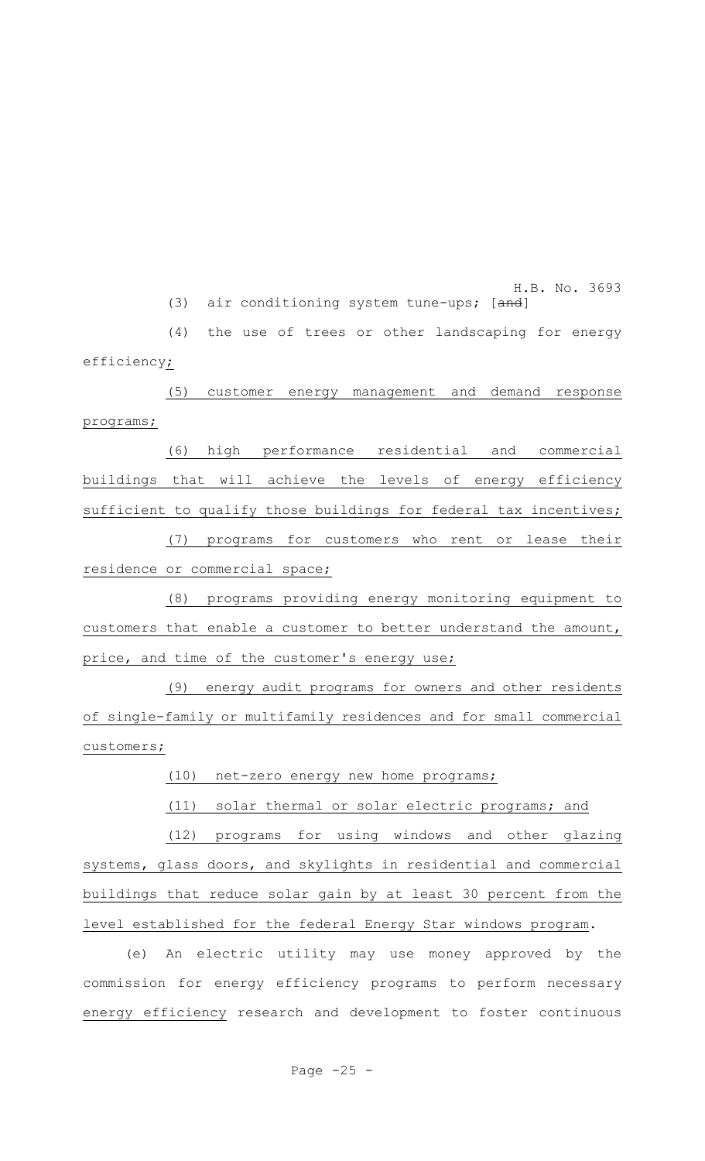H.B. No. 3693 (3) air conditioning system tune-ups; [and]

(4) the use of trees or other landscaping for energy efficiency;

(5) customer energy management and demand response programs;

(6) high performance residential and commercial buildings that will achieve the levels of energy efficiency sufficient to qualify those buildings for federal tax incentives;

(7) programs for customers who rent or lease their residence or commercial space;

(8) programs providing energy monitoring equipment to customers that enable a customer to better understand the amount, price, and time of the customer's energy use;

(9) energy audit programs for owners and other residents of single-family or multifamily residences and for small commercial customers;

(10) net-zero energy new home programs;

(11) solar thermal or solar electric programs; and

(12) programs for using windows and other glazing systems, glass doors, and skylights in residential and commercial buildings that reduce solar gain by at least 30 percent from the level established for the federal Energy Star windows program.

(e) An electric utility may use money approved by the commission for energy efficiency programs to perform necessary energy efficiency research and development to foster continuous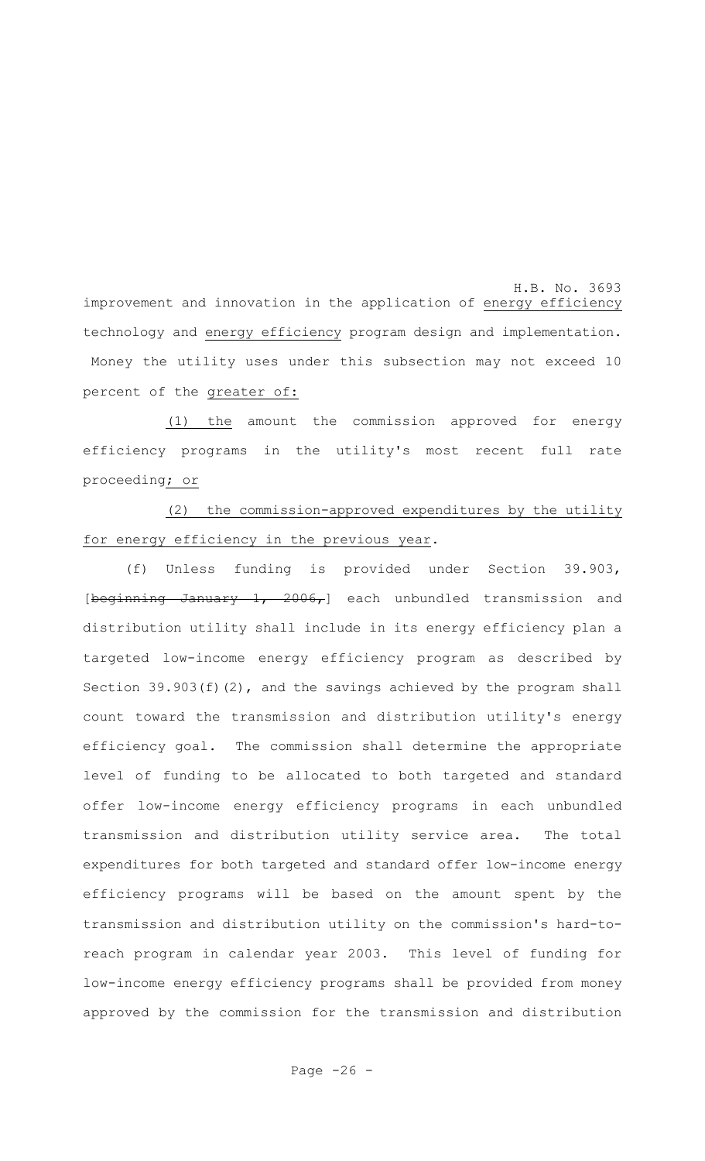H.B. No. 3693 improvement and innovation in the application of energy efficiency technology and energy efficiency program design and implementation. Money the utility uses under this subsection may not exceed 10 percent of the greater of:

(1) the amount the commission approved for energy efficiency programs in the utility's most recent full rate proceeding; or

(2) the commission-approved expenditures by the utility for energy efficiency in the previous year.

(f) Unless funding is provided under Section 39.903, [beginning January 1, 2006,] each unbundled transmission and distribution utility shall include in its energy efficiency plan a targeted low-income energy efficiency program as described by Section 39.903(f)(2), and the savings achieved by the program shall count toward the transmission and distribution utility's energy efficiency goal. The commission shall determine the appropriate level of funding to be allocated to both targeted and standard offer low-income energy efficiency programs in each unbundled transmission and distribution utility service area. The total expenditures for both targeted and standard offer low-income energy efficiency programs will be based on the amount spent by the transmission and distribution utility on the commission's hard-toreach program in calendar year 2003. This level of funding for low-income energy efficiency programs shall be provided from money approved by the commission for the transmission and distribution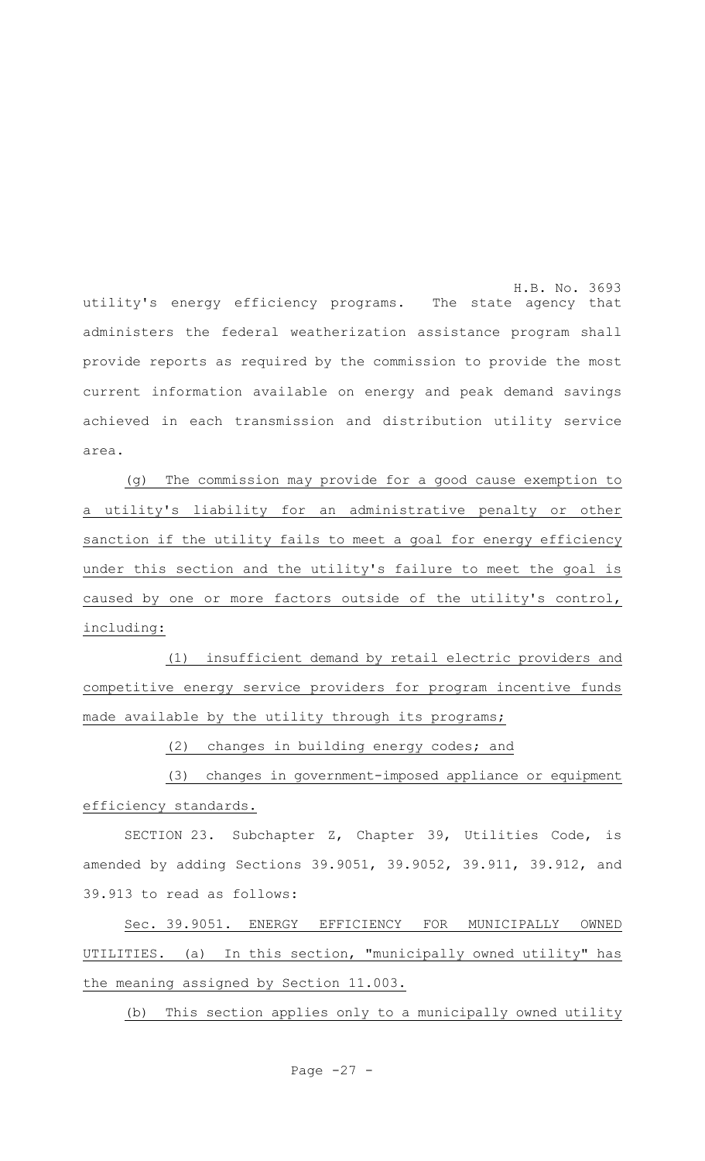H.B. No. 3693 utility's energy efficiency programs. The state agency that administers the federal weatherization assistance program shall provide reports as required by the commission to provide the most current information available on energy and peak demand savings achieved in each transmission and distribution utility service area.

(g) The commission may provide for a good cause exemption to a utility's liability for an administrative penalty or other sanction if the utility fails to meet a goal for energy efficiency under this section and the utility's failure to meet the goal is caused by one or more factors outside of the utility's control, including:

(1) insufficient demand by retail electric providers and competitive energy service providers for program incentive funds made available by the utility through its programs;

(2) changes in building energy codes; and

(3) changes in government-imposed appliance or equipment efficiency standards.

SECTION 23. Subchapter Z, Chapter 39, Utilities Code, is amended by adding Sections 39.9051, 39.9052, 39.911, 39.912, and 39.913 to read as follows:

Sec. 39.9051. ENERGY EFFICIENCY FOR MUNICIPALLY OWNED UTILITIES. (a) In this section, "municipally owned utility" has the meaning assigned by Section 11.003.

(b) This section applies only to a municipally owned utility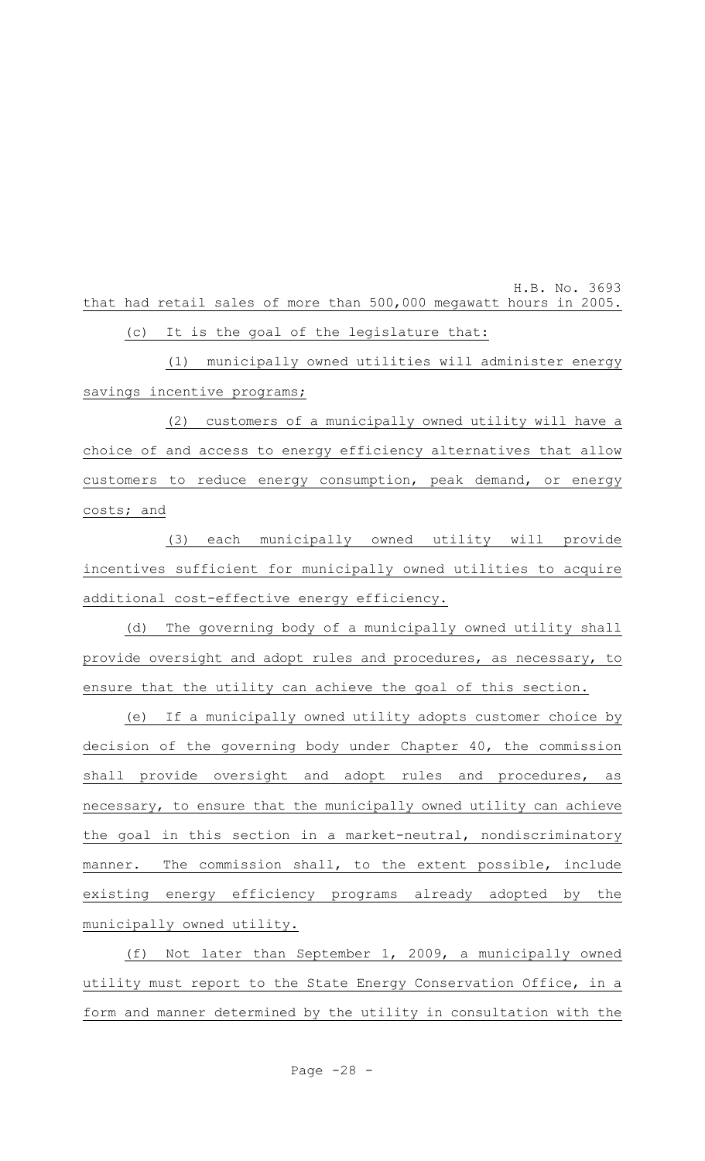H.B. No. 3693 that had retail sales of more than 500,000 megawatt hours in 2005. (c) It is the goal of the legislature that:

(1) municipally owned utilities will administer energy savings incentive programs;

(2) customers of a municipally owned utility will have a choice of and access to energy efficiency alternatives that allow customers to reduce energy consumption, peak demand, or energy costs; and

(3) each municipally owned utility will provide incentives sufficient for municipally owned utilities to acquire additional cost-effective energy efficiency.

(d) The governing body of a municipally owned utility shall provide oversight and adopt rules and procedures, as necessary, to ensure that the utility can achieve the goal of this section.

(e) If a municipally owned utility adopts customer choice by decision of the governing body under Chapter 40, the commission shall provide oversight and adopt rules and procedures, as necessary, to ensure that the municipally owned utility can achieve the goal in this section in a market-neutral, nondiscriminatory manner. The commission shall, to the extent possible, include existing energy efficiency programs already adopted by the municipally owned utility.

(f) Not later than September 1, 2009, a municipally owned utility must report to the State Energy Conservation Office, in a form and manner determined by the utility in consultation with the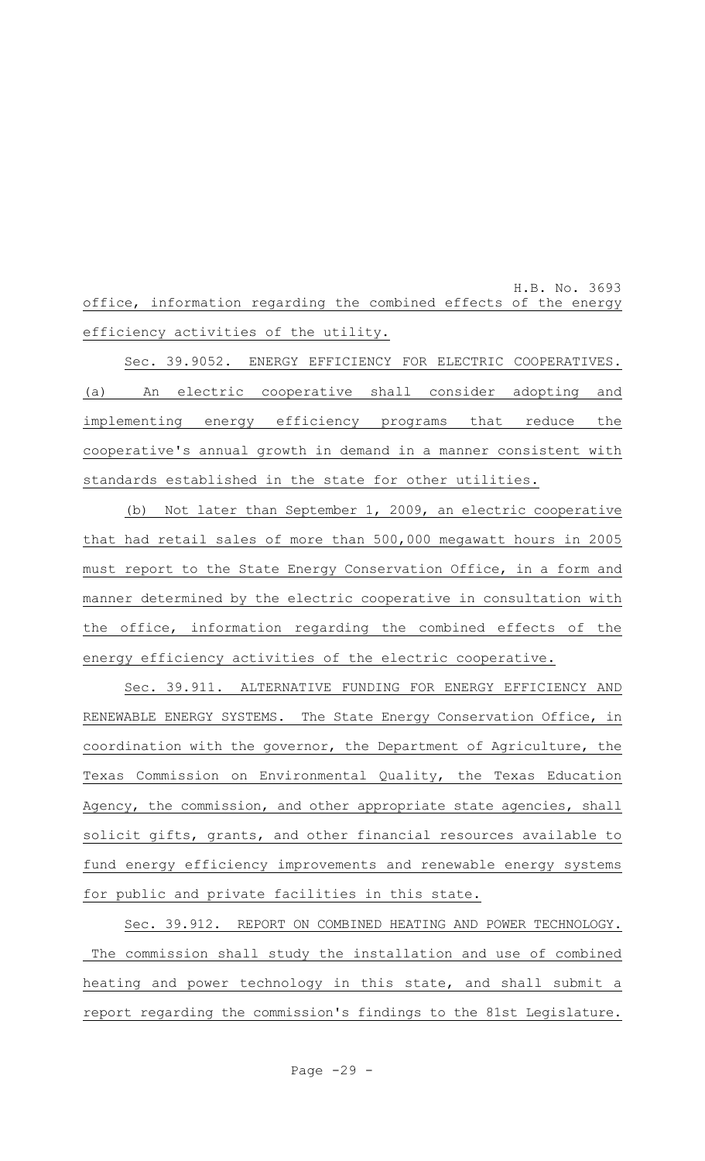H.B. No. 3693 office, information regarding the combined effects of the energy efficiency activities of the utility.

Sec. 39.9052. ENERGY EFFICIENCY FOR ELECTRIC COOPERATIVES. (a) An electric cooperative shall consider adopting and implementing energy efficiency programs that reduce the cooperative's annual growth in demand in a manner consistent with standards established in the state for other utilities.

(b) Not later than September 1, 2009, an electric cooperative that had retail sales of more than 500,000 megawatt hours in 2005 must report to the State Energy Conservation Office, in a form and manner determined by the electric cooperative in consultation with the office, information regarding the combined effects of the energy efficiency activities of the electric cooperative.

Sec. 39.911. ALTERNATIVE FUNDING FOR ENERGY EFFICIENCY AND RENEWABLE ENERGY SYSTEMS. The State Energy Conservation Office, in coordination with the governor, the Department of Agriculture, the Texas Commission on Environmental Quality, the Texas Education Agency, the commission, and other appropriate state agencies, shall solicit gifts, grants, and other financial resources available to fund energy efficiency improvements and renewable energy systems for public and private facilities in this state.

Sec. 39.912. REPORT ON COMBINED HEATING AND POWER TECHNOLOGY. The commission shall study the installation and use of combined heating and power technology in this state, and shall submit a report regarding the commission's findings to the 81st Legislature.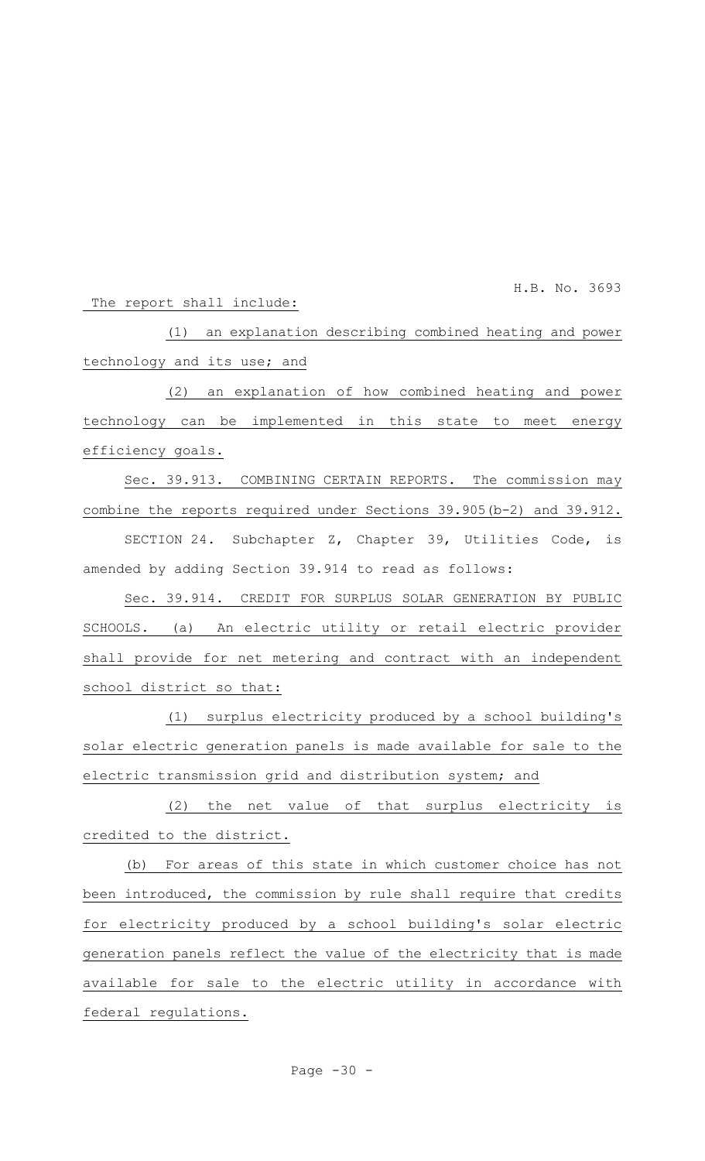H.B. No. 3693

#### The report shall include:

(1) an explanation describing combined heating and power technology and its use; and

(2) an explanation of how combined heating and power technology can be implemented in this state to meet energy efficiency goals.

Sec. 39.913. COMBINING CERTAIN REPORTS. The commission may combine the reports required under Sections 39.905(b-2) and 39.912.

SECTION 24. Subchapter Z, Chapter 39, Utilities Code, is amended by adding Section 39.914 to read as follows:

Sec. 39.914. CREDIT FOR SURPLUS SOLAR GENERATION BY PUBLIC SCHOOLS. (a) An electric utility or retail electric provider shall provide for net metering and contract with an independent school district so that:

(1) surplus electricity produced by a school building's solar electric generation panels is made available for sale to the electric transmission grid and distribution system; and

(2) the net value of that surplus electricity is credited to the district.

(b) For areas of this state in which customer choice has not been introduced, the commission by rule shall require that credits for electricity produced by a school building's solar electric generation panels reflect the value of the electricity that is made available for sale to the electric utility in accordance with federal regulations.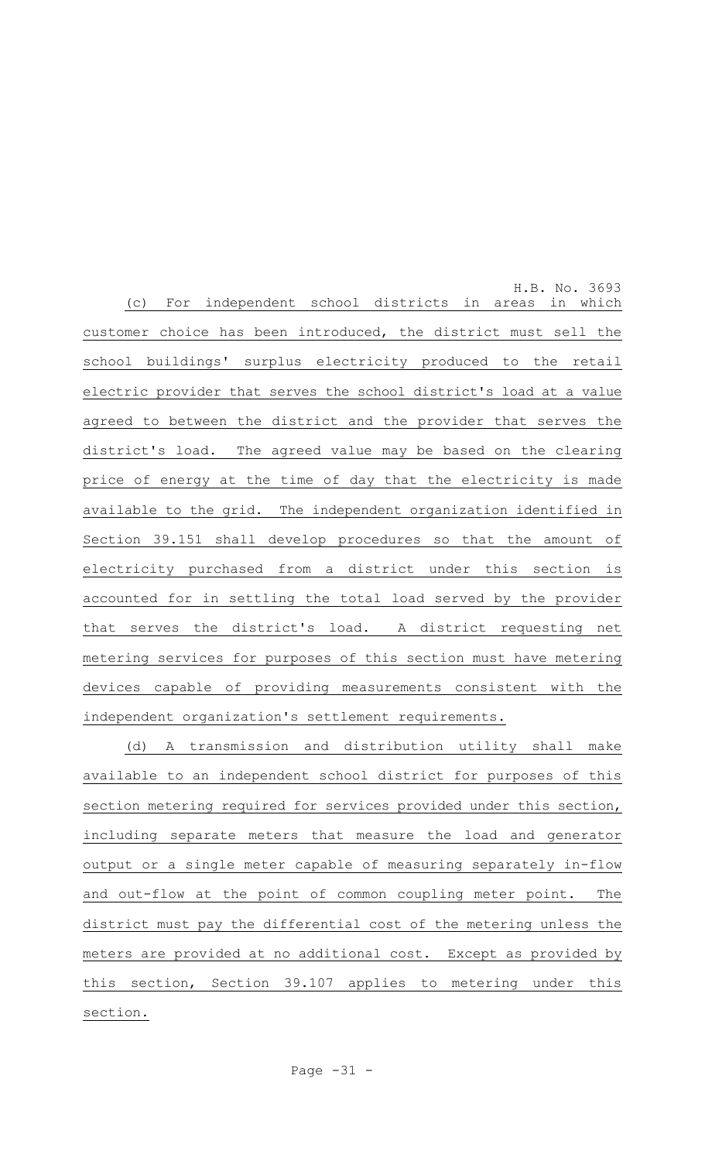H.B. No. 3693 (c) For independent school districts in areas in which customer choice has been introduced, the district must sell the school buildings' surplus electricity produced to the retail electric provider that serves the school district's load at a value agreed to between the district and the provider that serves the district's load. The agreed value may be based on the clearing price of energy at the time of day that the electricity is made available to the grid. The independent organization identified in Section 39.151 shall develop procedures so that the amount of electricity purchased from a district under this section is accounted for in settling the total load served by the provider that serves the district's load. A district requesting net metering services for purposes of this section must have metering devices capable of providing measurements consistent with the independent organization's settlement requirements.

(d) A transmission and distribution utility shall make available to an independent school district for purposes of this section metering required for services provided under this section, including separate meters that measure the load and generator output or a single meter capable of measuring separately in-flow and out-flow at the point of common coupling meter point. The district must pay the differential cost of the metering unless the meters are provided at no additional cost. Except as provided by this section, Section 39.107 applies to metering under this section.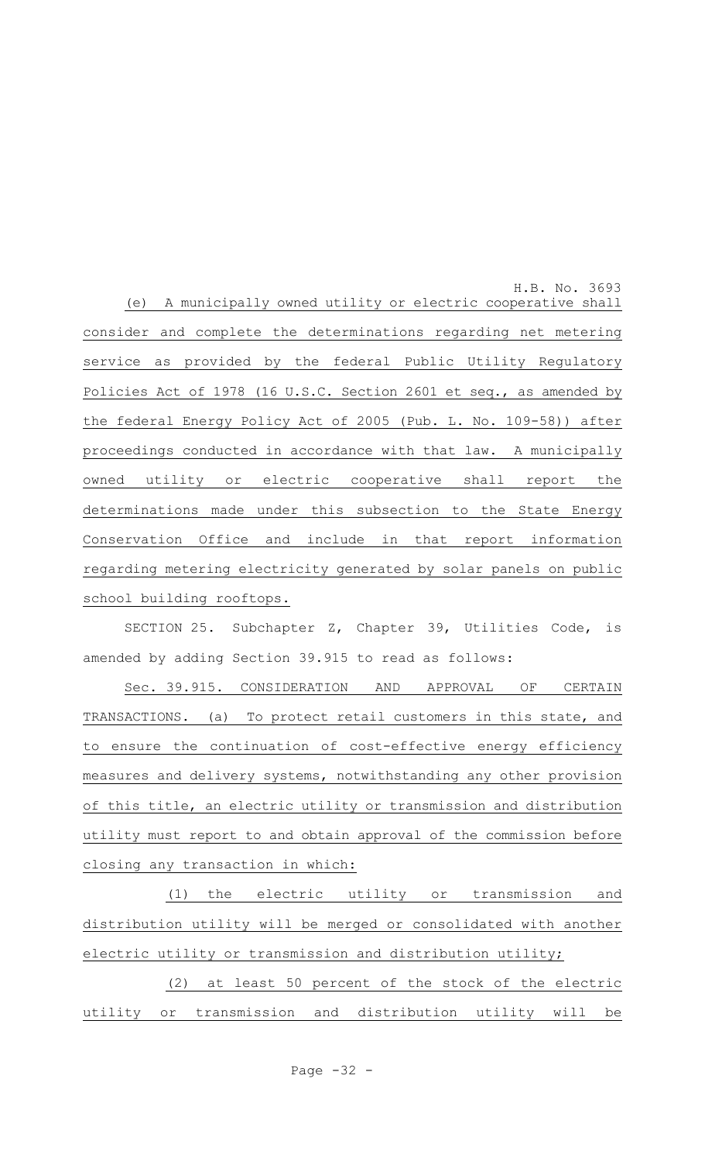H.B. No. 3693 (e) A municipally owned utility or electric cooperative shall consider and complete the determinations regarding net metering service as provided by the federal Public Utility Regulatory Policies Act of 1978 (16 U.S.C. Section 2601 et seq., as amended by the federal Energy Policy Act of 2005 (Pub. L. No. 109-58)) after proceedings conducted in accordance with that law. A municipally owned utility or electric cooperative shall report the determinations made under this subsection to the State Energy Conservation Office and include in that report information regarding metering electricity generated by solar panels on public school building rooftops.

SECTION 25. Subchapter Z, Chapter 39, Utilities Code, is amended by adding Section 39.915 to read as follows:

Sec. 39.915. CONSIDERATION AND APPROVAL OF CERTAIN TRANSACTIONS. (a) To protect retail customers in this state, and to ensure the continuation of cost-effective energy efficiency measures and delivery systems, notwithstanding any other provision of this title, an electric utility or transmission and distribution utility must report to and obtain approval of the commission before closing any transaction in which:

(1) the electric utility or transmission and distribution utility will be merged or consolidated with another electric utility or transmission and distribution utility;

(2) at least 50 percent of the stock of the electric utility or transmission and distribution utility will be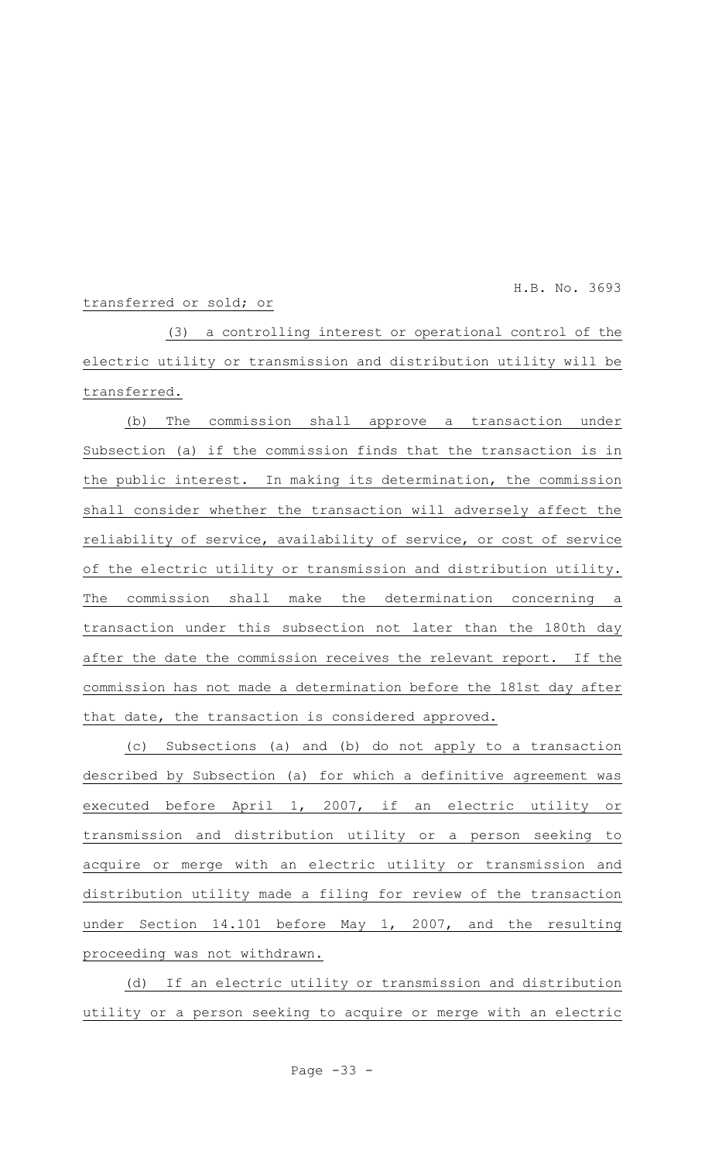H.B. No. 3693

#### transferred or sold; or

(3) a controlling interest or operational control of the electric utility or transmission and distribution utility will be transferred.

(b) The commission shall approve a transaction under Subsection (a) if the commission finds that the transaction is in the public interest. In making its determination, the commission shall consider whether the transaction will adversely affect the reliability of service, availability of service, or cost of service of the electric utility or transmission and distribution utility. The commission shall make the determination concerning a transaction under this subsection not later than the 180th day after the date the commission receives the relevant report. If the commission has not made a determination before the 181st day after that date, the transaction is considered approved.

(c) Subsections (a) and (b) do not apply to a transaction described by Subsection (a) for which a definitive agreement was executed before April 1, 2007, if an electric utility or transmission and distribution utility or a person seeking to acquire or merge with an electric utility or transmission and distribution utility made a filing for review of the transaction under Section 14.101 before May 1, 2007, and the resulting proceeding was not withdrawn.

(d) If an electric utility or transmission and distribution utility or a person seeking to acquire or merge with an electric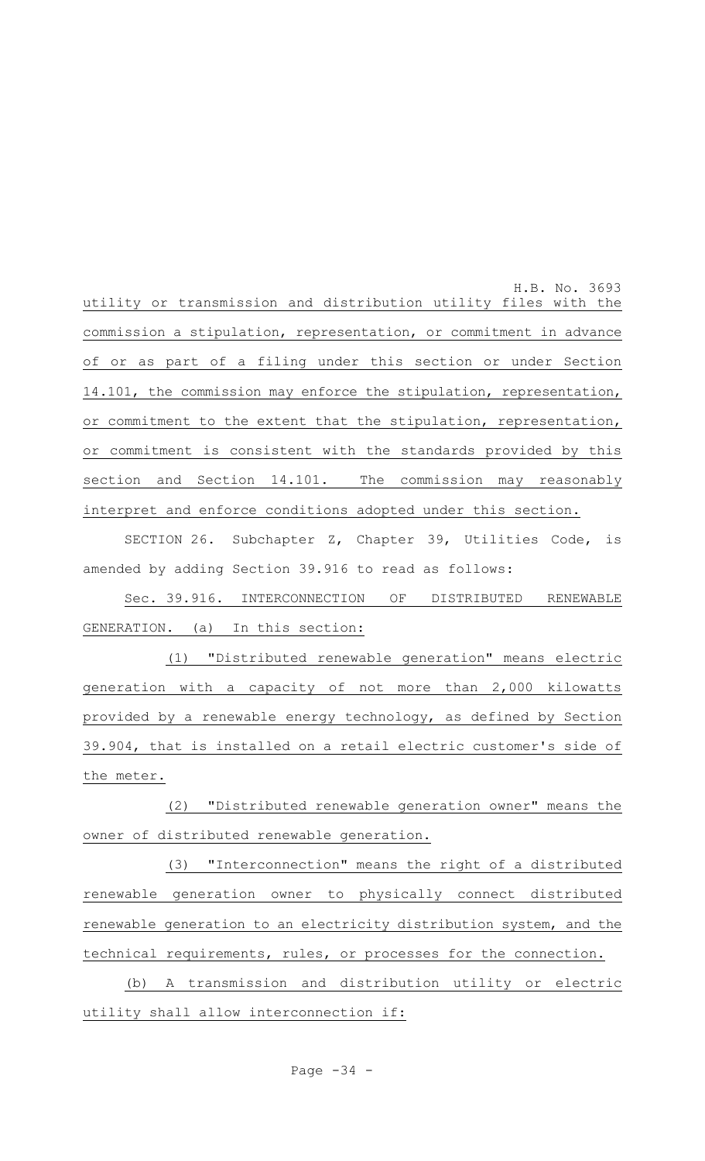H.B. No. 3693 utility or transmission and distribution utility files with the commission a stipulation, representation, or commitment in advance of or as part of a filing under this section or under Section 14.101, the commission may enforce the stipulation, representation, or commitment to the extent that the stipulation, representation, or commitment is consistent with the standards provided by this section and Section 14.101. The commission may reasonably interpret and enforce conditions adopted under this section.

SECTION 26. Subchapter Z, Chapter 39, Utilities Code, is amended by adding Section 39.916 to read as follows:

Sec. 39.916. INTERCONNECTION OF DISTRIBUTED RENEWABLE GENERATION. (a) In this section:

(1) "Distributed renewable generation" means electric generation with a capacity of not more than 2,000 kilowatts provided by a renewable energy technology, as defined by Section 39.904, that is installed on a retail electric customer's side of the meter.

(2) "Distributed renewable generation owner" means the owner of distributed renewable generation.

(3) "Interconnection" means the right of a distributed renewable generation owner to physically connect distributed renewable generation to an electricity distribution system, and the technical requirements, rules, or processes for the connection.

(b) A transmission and distribution utility or electric utility shall allow interconnection if: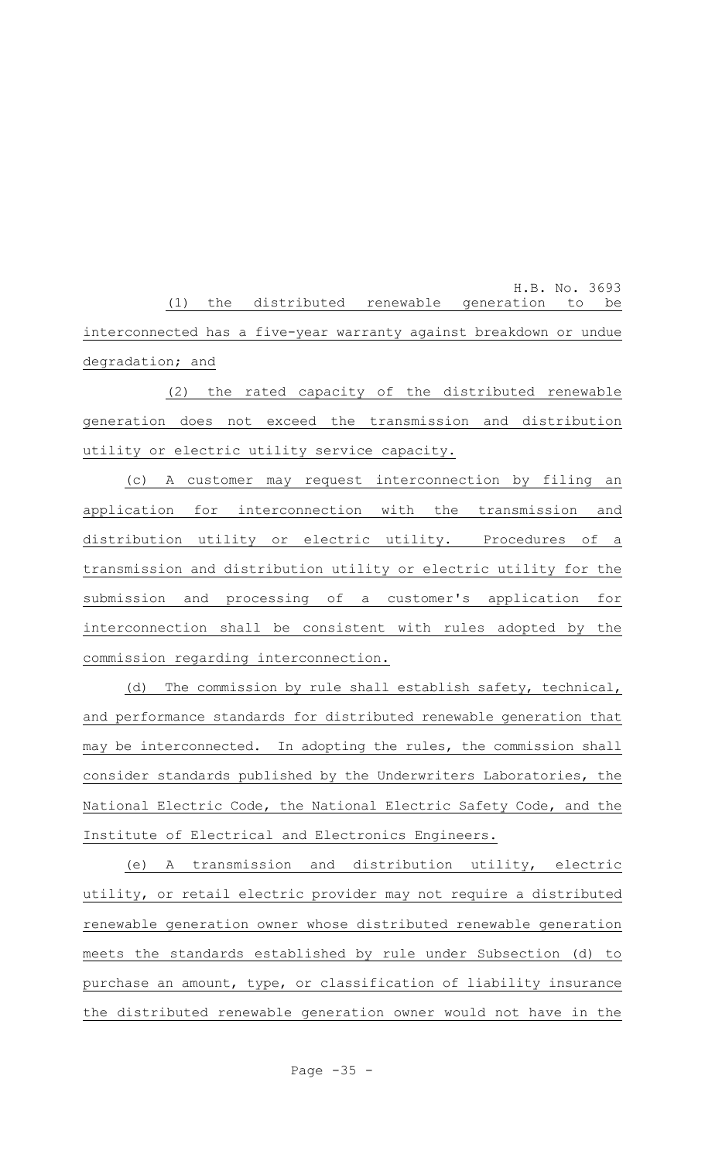H.B. No. 3693 (1) the distributed renewable generation to be interconnected has a five-year warranty against breakdown or undue degradation; and

(2) the rated capacity of the distributed renewable generation does not exceed the transmission and distribution utility or electric utility service capacity.

(c) A customer may request interconnection by filing an application for interconnection with the transmission and distribution utility or electric utility. Procedures of a transmission and distribution utility or electric utility for the submission and processing of a customer's application for interconnection shall be consistent with rules adopted by the commission regarding interconnection.

(d) The commission by rule shall establish safety, technical, and performance standards for distributed renewable generation that may be interconnected. In adopting the rules, the commission shall consider standards published by the Underwriters Laboratories, the National Electric Code, the National Electric Safety Code, and the Institute of Electrical and Electronics Engineers.

(e) A transmission and distribution utility, electric utility, or retail electric provider may not require a distributed renewable generation owner whose distributed renewable generation meets the standards established by rule under Subsection (d) to purchase an amount, type, or classification of liability insurance the distributed renewable generation owner would not have in the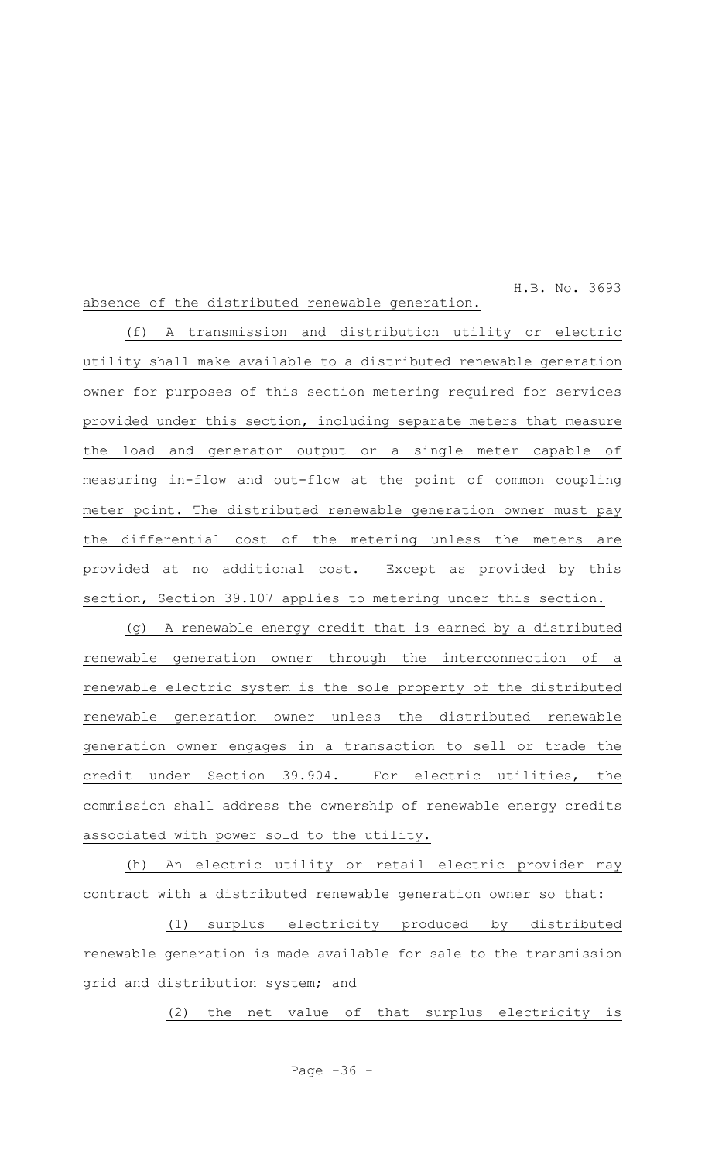#### H.B. No. 3693 absence of the distributed renewable generation.

(f) A transmission and distribution utility or electric utility shall make available to a distributed renewable generation owner for purposes of this section metering required for services provided under this section, including separate meters that measure the load and generator output or a single meter capable of measuring in-flow and out-flow at the point of common coupling meter point. The distributed renewable generation owner must pay the differential cost of the metering unless the meters are provided at no additional cost. Except as provided by this section, Section 39.107 applies to metering under this section.

(g) A renewable energy credit that is earned by a distributed renewable generation owner through the interconnection of a renewable electric system is the sole property of the distributed renewable generation owner unless the distributed renewable generation owner engages in a transaction to sell or trade the credit under Section 39.904. For electric utilities, the commission shall address the ownership of renewable energy credits associated with power sold to the utility.

(h) An electric utility or retail electric provider may contract with a distributed renewable generation owner so that:

(1) surplus electricity produced by distributed renewable generation is made available for sale to the transmission grid and distribution system; and

(2) the net value of that surplus electricity is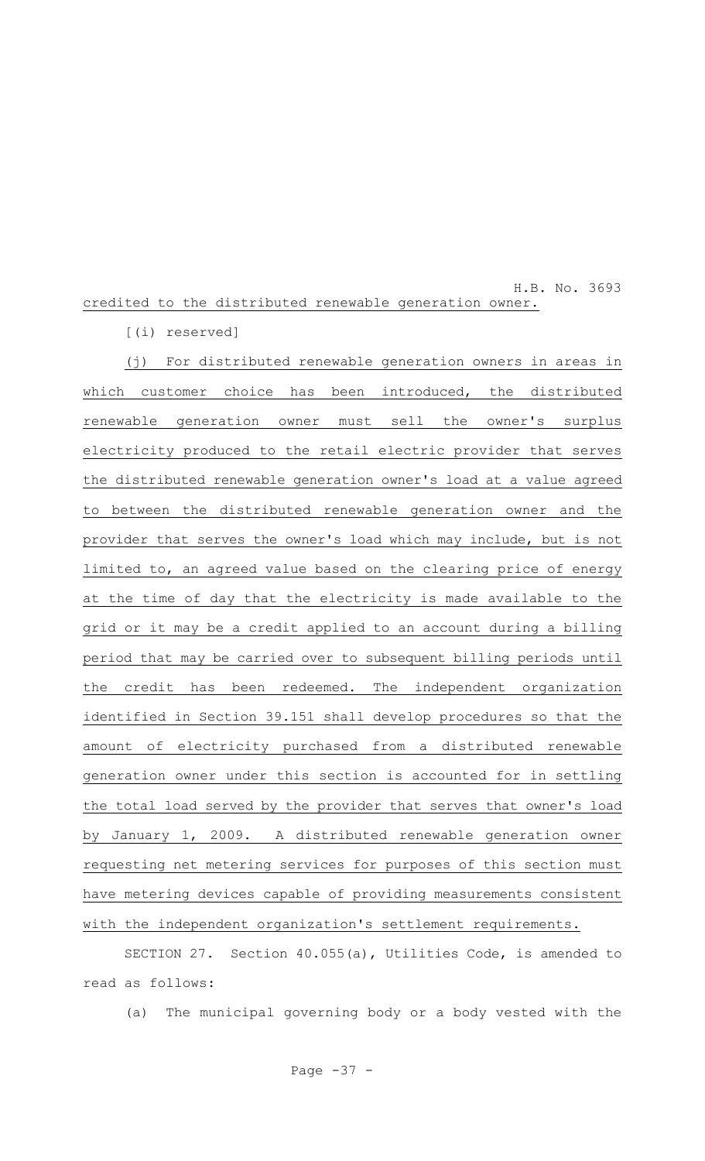## H.B. No. 3693 credited to the distributed renewable generation owner.

[(i) reserved]

(j) For distributed renewable generation owners in areas in which customer choice has been introduced, the distributed renewable generation owner must sell the owner's surplus electricity produced to the retail electric provider that serves the distributed renewable generation owner's load at a value agreed to between the distributed renewable generation owner and the provider that serves the owner's load which may include, but is not limited to, an agreed value based on the clearing price of energy at the time of day that the electricity is made available to the grid or it may be a credit applied to an account during a billing period that may be carried over to subsequent billing periods until the credit has been redeemed. The independent organization identified in Section 39.151 shall develop procedures so that the amount of electricity purchased from a distributed renewable generation owner under this section is accounted for in settling the total load served by the provider that serves that owner's load by January 1, 2009. A distributed renewable generation owner requesting net metering services for purposes of this section must have metering devices capable of providing measurements consistent with the independent organization's settlement requirements.

SECTION 27. Section 40.055(a), Utilities Code, is amended to read as follows:

(a) The municipal governing body or a body vested with the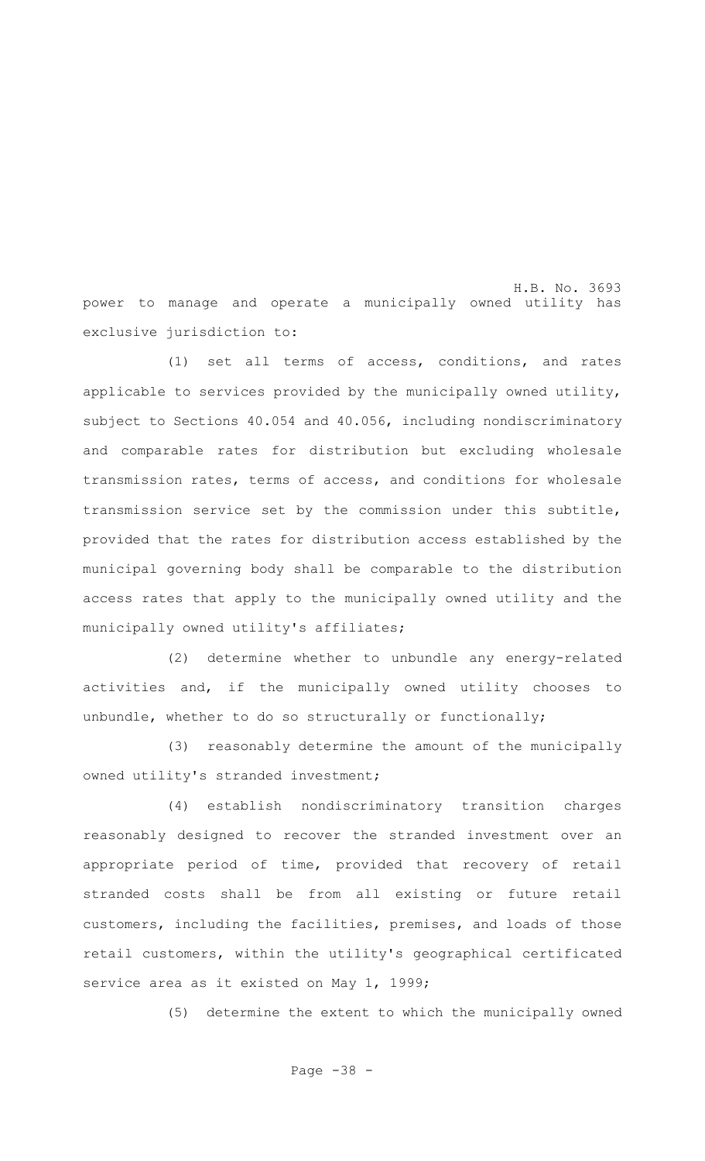H.B. No. 3693 power to manage and operate a municipally owned utility has exclusive jurisdiction to:

(1) set all terms of access, conditions, and rates applicable to services provided by the municipally owned utility, subject to Sections 40.054 and 40.056, including nondiscriminatory and comparable rates for distribution but excluding wholesale transmission rates, terms of access, and conditions for wholesale transmission service set by the commission under this subtitle, provided that the rates for distribution access established by the municipal governing body shall be comparable to the distribution access rates that apply to the municipally owned utility and the municipally owned utility's affiliates;

(2) determine whether to unbundle any energy-related activities and, if the municipally owned utility chooses to unbundle, whether to do so structurally or functionally;

(3) reasonably determine the amount of the municipally owned utility's stranded investment;

(4) establish nondiscriminatory transition charges reasonably designed to recover the stranded investment over an appropriate period of time, provided that recovery of retail stranded costs shall be from all existing or future retail customers, including the facilities, premises, and loads of those retail customers, within the utility's geographical certificated service area as it existed on May 1, 1999;

(5) determine the extent to which the municipally owned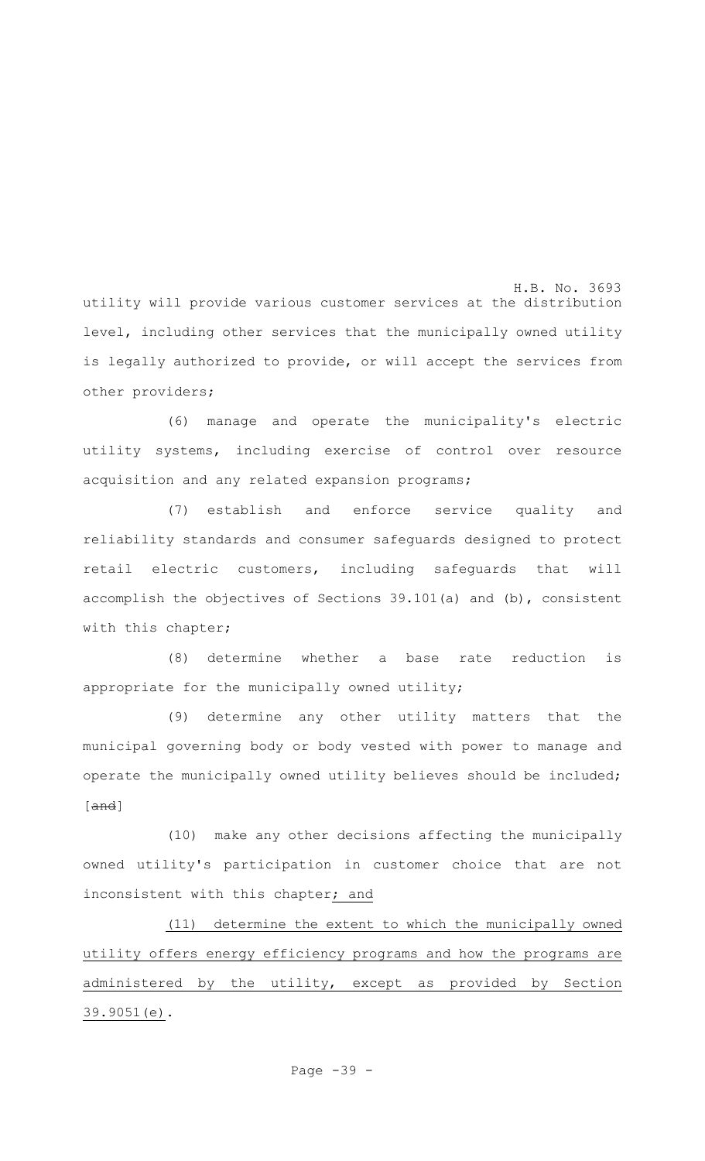H.B. No. 3693 utility will provide various customer services at the distribution level, including other services that the municipally owned utility is legally authorized to provide, or will accept the services from other providers;

(6) manage and operate the municipality's electric utility systems, including exercise of control over resource acquisition and any related expansion programs;

(7) establish and enforce service quality and reliability standards and consumer safeguards designed to protect retail electric customers, including safeguards that will accomplish the objectives of Sections 39.101(a) and (b), consistent with this chapter;

(8) determine whether a base rate reduction is appropriate for the municipally owned utility;

(9) determine any other utility matters that the municipal governing body or body vested with power to manage and operate the municipally owned utility believes should be included; [and]

(10) make any other decisions affecting the municipally owned utility's participation in customer choice that are not inconsistent with this chapter; and

(11) determine the extent to which the municipally owned utility offers energy efficiency programs and how the programs are administered by the utility, except as provided by Section 39.9051(e).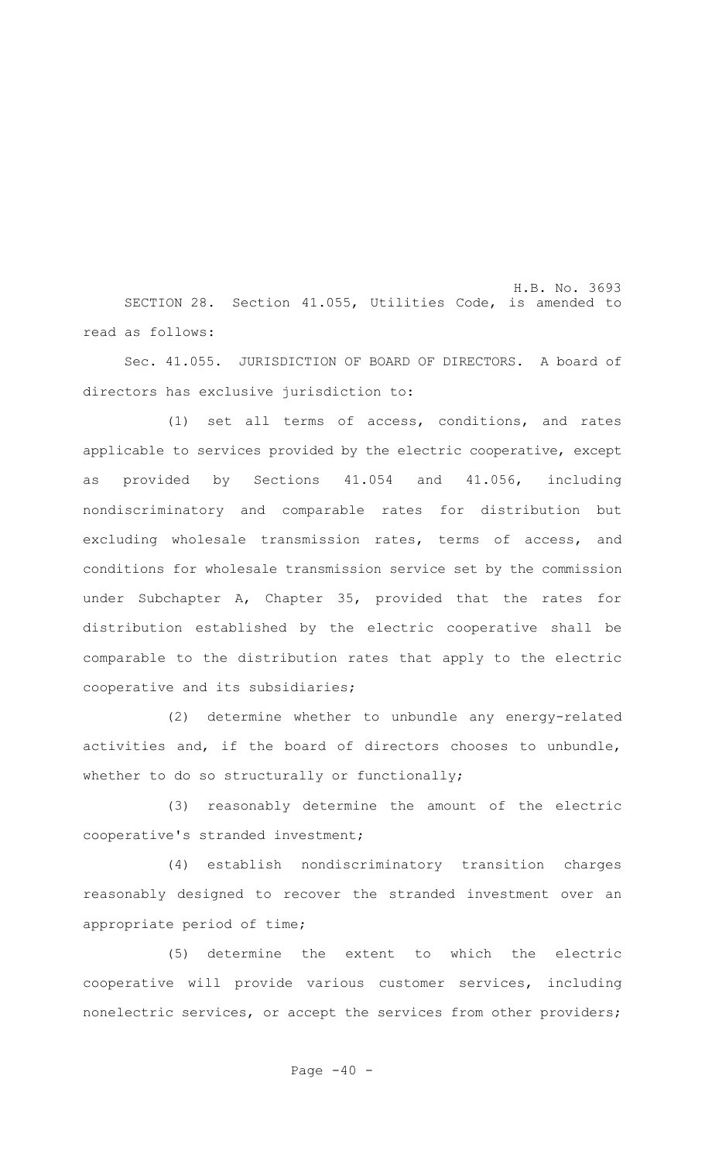H.B. No. 3693 SECTION 28. Section 41.055, Utilities Code, is amended to read as follows:

Sec. 41.055. JURISDICTION OF BOARD OF DIRECTORS. A board of directors has exclusive jurisdiction to:

(1) set all terms of access, conditions, and rates applicable to services provided by the electric cooperative, except as provided by Sections 41.054 and 41.056, including nondiscriminatory and comparable rates for distribution but excluding wholesale transmission rates, terms of access, and conditions for wholesale transmission service set by the commission under Subchapter A, Chapter 35, provided that the rates for distribution established by the electric cooperative shall be comparable to the distribution rates that apply to the electric cooperative and its subsidiaries;

(2) determine whether to unbundle any energy-related activities and, if the board of directors chooses to unbundle, whether to do so structurally or functionally;

(3) reasonably determine the amount of the electric cooperative's stranded investment;

(4) establish nondiscriminatory transition charges reasonably designed to recover the stranded investment over an appropriate period of time;

(5) determine the extent to which the electric cooperative will provide various customer services, including nonelectric services, or accept the services from other providers;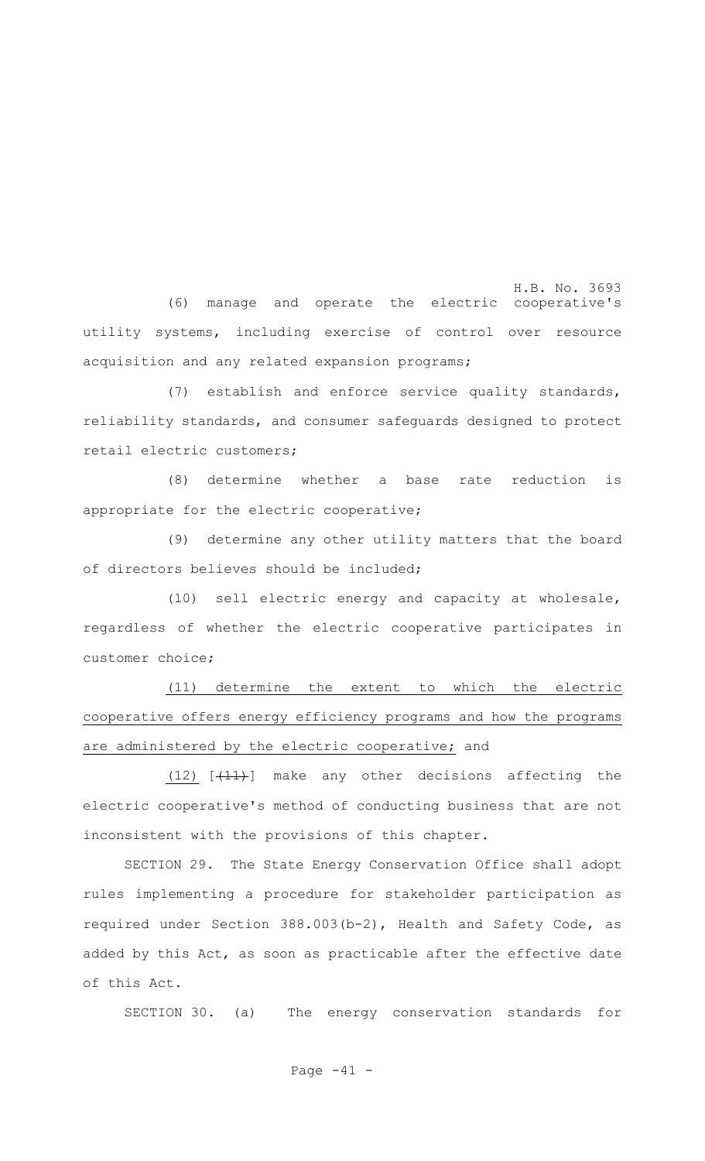H.B. No. 3693 (6) manage and operate the electric cooperative's utility systems, including exercise of control over resource acquisition and any related expansion programs;

(7) establish and enforce service quality standards, reliability standards, and consumer safeguards designed to protect retail electric customers;

(8) determine whether a base rate reduction is appropriate for the electric cooperative;

(9) determine any other utility matters that the board of directors believes should be included;

(10) sell electric energy and capacity at wholesale, regardless of whether the electric cooperative participates in customer choice;

(11) determine the extent to which the electric cooperative offers energy efficiency programs and how the programs are administered by the electric cooperative; and

 $(12)$   $[+11)$  make any other decisions affecting the electric cooperative's method of conducting business that are not inconsistent with the provisions of this chapter.

SECTION 29. The State Energy Conservation Office shall adopt rules implementing a procedure for stakeholder participation as required under Section 388.003(b-2), Health and Safety Code, as added by this Act, as soon as practicable after the effective date of this Act.

SECTION 30. (a) The energy conservation standards for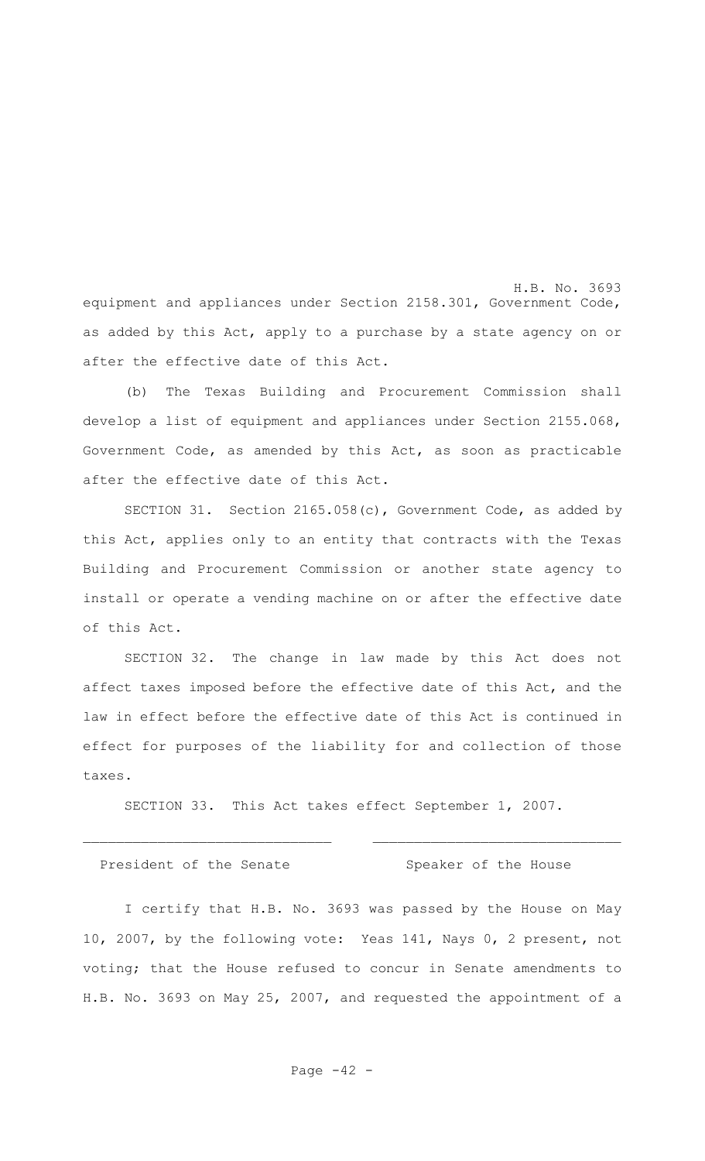H.B. No. 3693 equipment and appliances under Section 2158.301, Government Code, as added by this Act, apply to a purchase by a state agency on or after the effective date of this Act.

(b) The Texas Building and Procurement Commission shall develop a list of equipment and appliances under Section 2155.068, Government Code, as amended by this Act, as soon as practicable after the effective date of this Act.

SECTION 31. Section 2165.058(c), Government Code, as added by this Act, applies only to an entity that contracts with the Texas Building and Procurement Commission or another state agency to install or operate a vending machine on or after the effective date of this Act.

SECTION 32. The change in law made by this Act does not affect taxes imposed before the effective date of this Act, and the law in effect before the effective date of this Act is continued in effect for purposes of the liability for and collection of those taxes.

SECTION 33. This Act takes effect September 1, 2007.

President of the Senate Speaker of the House

I certify that H.B. No. 3693 was passed by the House on May 10, 2007, by the following vote: Yeas 141, Nays 0, 2 present, not voting; that the House refused to concur in Senate amendments to H.B. No. 3693 on May 25, 2007, and requested the appointment of a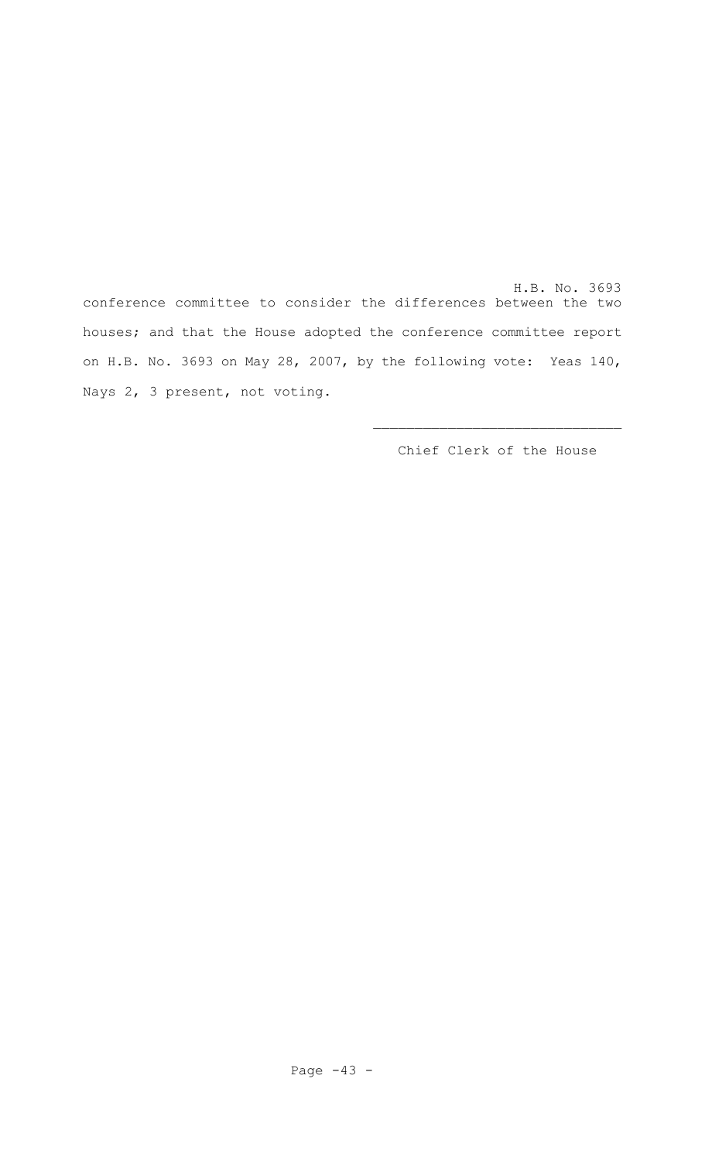H.B. No. 3693 conference committee to consider the differences between the two houses; and that the House adopted the conference committee report on H.B. No. 3693 on May 28, 2007, by the following vote: Yeas 140, Nays 2, 3 present, not voting.

Chief Clerk of the House